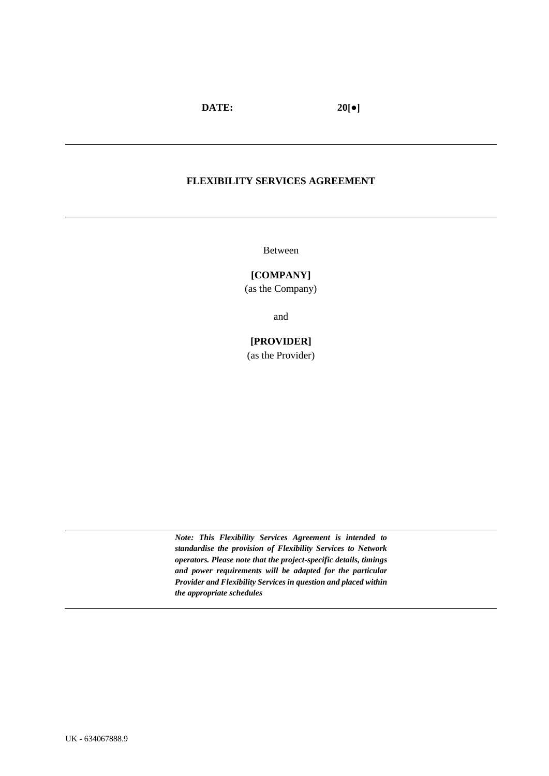#### **FLEXIBILITY SERVICES AGREEMENT**

Between

#### **[COMPANY]**

(as the Company)

and

# **[PROVIDER]**

(as the Provider)

*Note: This Flexibility Services Agreement is intended to standardise the provision of Flexibility Services to Network operators. Please note that the project-specific details, timings and power requirements will be adapted for the particular Provider and Flexibility Services in question and placed within the appropriate schedules*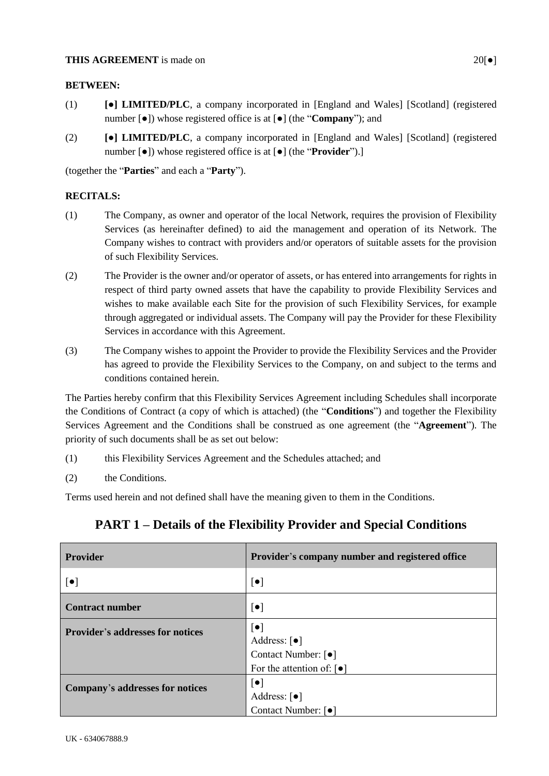#### **THIS AGREEMENT** is made on 20<sup>[</sup> $\bullet$ ]

#### **BETWEEN:**

- (1) **[●] LIMITED/PLC**, a company incorporated in [England and Wales] [Scotland] (registered number [●]) whose registered office is at [●] (the "**Company**"); and
- (2) **[●] LIMITED/PLC**, a company incorporated in [England and Wales] [Scotland] (registered number [●]) whose registered office is at [●] (the "**Provider**").]

(together the "**Parties**" and each a "**Party**").

#### **RECITALS:**

- (1) The Company, as owner and operator of the local Network, requires the provision of Flexibility Services (as hereinafter defined) to aid the management and operation of its Network. The Company wishes to contract with providers and/or operators of suitable assets for the provision of such Flexibility Services.
- (2) The Provider is the owner and/or operator of assets, or has entered into arrangements for rights in respect of third party owned assets that have the capability to provide Flexibility Services and wishes to make available each Site for the provision of such Flexibility Services, for example through aggregated or individual assets. The Company will pay the Provider for these Flexibility Services in accordance with this Agreement.
- (3) The Company wishes to appoint the Provider to provide the Flexibility Services and the Provider has agreed to provide the Flexibility Services to the Company, on and subject to the terms and conditions contained herein.

The Parties hereby confirm that this Flexibility Services Agreement including Schedules shall incorporate the Conditions of Contract (a copy of which is attached) (the "**Conditions**") and together the Flexibility Services Agreement and the Conditions shall be construed as one agreement (the "**Agreement**"). The priority of such documents shall be as set out below:

- (1) this Flexibility Services Agreement and the Schedules attached; and
- (2) the Conditions.

Terms used herein and not defined shall have the meaning given to them in the Conditions.

| <b>Provider</b>                         | Provider's company number and registered office                                              |
|-----------------------------------------|----------------------------------------------------------------------------------------------|
| $\lceil\bullet\rceil$                   | $\lceil \bullet \rceil$                                                                      |
| <b>Contract number</b>                  | $\lceil \bullet \rceil$                                                                      |
| <b>Provider's addresses for notices</b> | $\lceil \bullet \rceil$<br>Address: $\lceil \bullet \rceil$<br>Contact Number: [ $\bullet$ ] |
|                                         | For the attention of: $\lceil \bullet \rceil$                                                |
| Company's addresses for notices         | $\lceil \bullet \rceil$<br>Address: $\lceil \bullet \rceil$                                  |
|                                         | Contact Number: [ $\bullet$ ]                                                                |

# **PART 1 – Details of the Flexibility Provider and Special Conditions**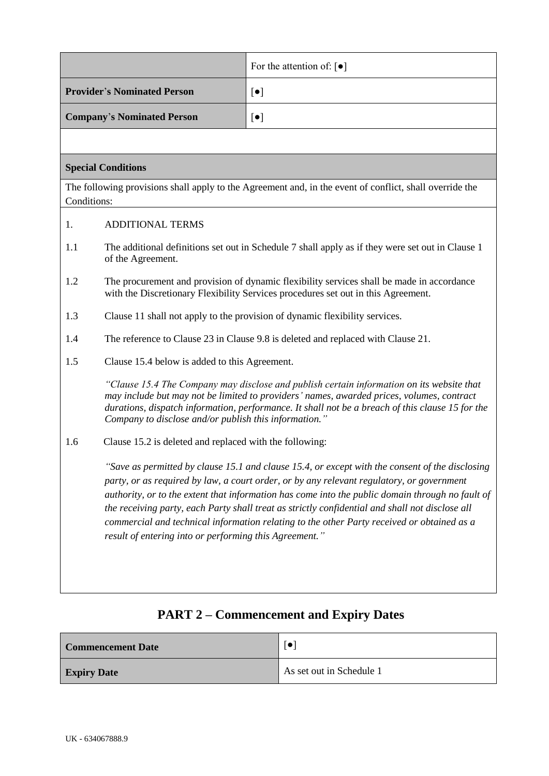|                                    |                                                                                                                                                                                                                                                                                                                                                                                                                                                                                                                                                             | For the attention of: $\lceil \bullet \rceil$                                                                                                                                                                                                                                              |  |  |
|------------------------------------|-------------------------------------------------------------------------------------------------------------------------------------------------------------------------------------------------------------------------------------------------------------------------------------------------------------------------------------------------------------------------------------------------------------------------------------------------------------------------------------------------------------------------------------------------------------|--------------------------------------------------------------------------------------------------------------------------------------------------------------------------------------------------------------------------------------------------------------------------------------------|--|--|
| <b>Provider's Nominated Person</b> |                                                                                                                                                                                                                                                                                                                                                                                                                                                                                                                                                             | $[\bullet]$                                                                                                                                                                                                                                                                                |  |  |
|                                    | <b>Company's Nominated Person</b>                                                                                                                                                                                                                                                                                                                                                                                                                                                                                                                           | $[\bullet]$                                                                                                                                                                                                                                                                                |  |  |
|                                    |                                                                                                                                                                                                                                                                                                                                                                                                                                                                                                                                                             |                                                                                                                                                                                                                                                                                            |  |  |
|                                    | <b>Special Conditions</b>                                                                                                                                                                                                                                                                                                                                                                                                                                                                                                                                   |                                                                                                                                                                                                                                                                                            |  |  |
| Conditions:                        |                                                                                                                                                                                                                                                                                                                                                                                                                                                                                                                                                             | The following provisions shall apply to the Agreement and, in the event of conflict, shall override the                                                                                                                                                                                    |  |  |
| 1.                                 | <b>ADDITIONAL TERMS</b>                                                                                                                                                                                                                                                                                                                                                                                                                                                                                                                                     |                                                                                                                                                                                                                                                                                            |  |  |
| 1.1                                | The additional definitions set out in Schedule 7 shall apply as if they were set out in Clause 1<br>of the Agreement.                                                                                                                                                                                                                                                                                                                                                                                                                                       |                                                                                                                                                                                                                                                                                            |  |  |
| 1.2                                | The procurement and provision of dynamic flexibility services shall be made in accordance<br>with the Discretionary Flexibility Services procedures set out in this Agreement.                                                                                                                                                                                                                                                                                                                                                                              |                                                                                                                                                                                                                                                                                            |  |  |
| 1.3                                | Clause 11 shall not apply to the provision of dynamic flexibility services.                                                                                                                                                                                                                                                                                                                                                                                                                                                                                 |                                                                                                                                                                                                                                                                                            |  |  |
| 1.4                                | The reference to Clause 23 in Clause 9.8 is deleted and replaced with Clause 21.                                                                                                                                                                                                                                                                                                                                                                                                                                                                            |                                                                                                                                                                                                                                                                                            |  |  |
| 1.5                                | Clause 15.4 below is added to this Agreement.                                                                                                                                                                                                                                                                                                                                                                                                                                                                                                               |                                                                                                                                                                                                                                                                                            |  |  |
|                                    | Company to disclose and/or publish this information."                                                                                                                                                                                                                                                                                                                                                                                                                                                                                                       | "Clause 15.4 The Company may disclose and publish certain information on its website that<br>may include but may not be limited to providers' names, awarded prices, volumes, contract<br>durations, dispatch information, performance. It shall not be a breach of this clause 15 for the |  |  |
| 1.6                                | Clause 15.2 is deleted and replaced with the following:                                                                                                                                                                                                                                                                                                                                                                                                                                                                                                     |                                                                                                                                                                                                                                                                                            |  |  |
|                                    | "Save as permitted by clause 15.1 and clause 15.4, or except with the consent of the disclosing<br>party, or as required by law, a court order, or by any relevant regulatory, or government<br>authority, or to the extent that information has come into the public domain through no fault of<br>the receiving party, each Party shall treat as strictly confidential and shall not disclose all<br>commercial and technical information relating to the other Party received or obtained as a<br>result of entering into or performing this Agreement." |                                                                                                                                                                                                                                                                                            |  |  |

# **Commencement Date**  $\begin{bmatrix} \bullet \end{bmatrix}$ **Expiry Date** As set out i[n Schedule 1](#page-25-0)

# **PART 2 – Commencement and Expiry Dates**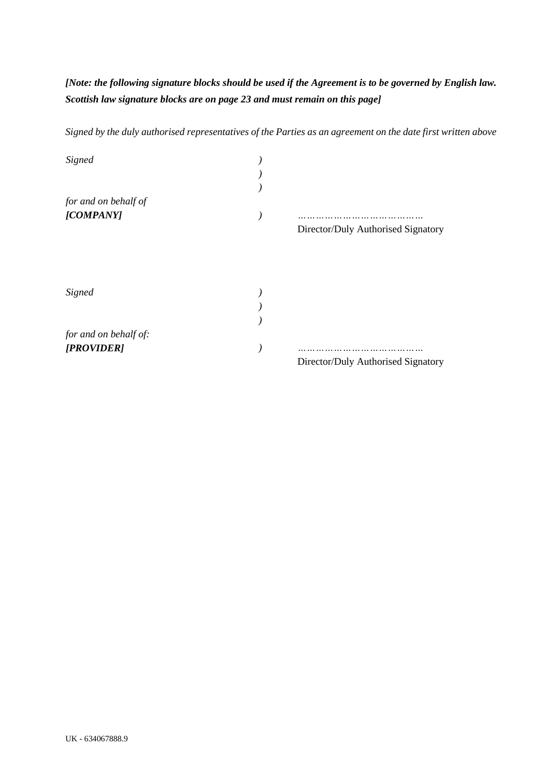# *[Note: the following signature blocks should be used if the Agreement is to be governed by English law. Scottish law signature blocks are on page 23 and must remain on this page]*

*Signed by the duly authorised representatives of the Parties as an agreement on the date first written above*

| Signed                |                                    |
|-----------------------|------------------------------------|
| for and on behalf of  |                                    |
| [COMPANY]             | Director/Duly Authorised Signatory |
|                       |                                    |
| Signed                |                                    |
|                       |                                    |
|                       |                                    |
| for and on behalf of: |                                    |
| [PROVIDER]            |                                    |
|                       | Director/Duly Authorised Signatory |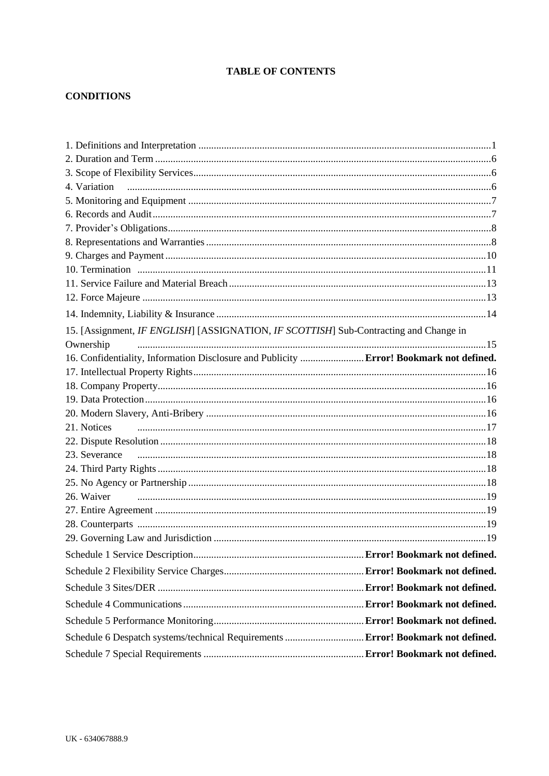# **TABLE OF CONTENTS**

# **CONDITIONS**

| 4. Variation                                                                            |  |
|-----------------------------------------------------------------------------------------|--|
|                                                                                         |  |
|                                                                                         |  |
|                                                                                         |  |
|                                                                                         |  |
|                                                                                         |  |
|                                                                                         |  |
|                                                                                         |  |
|                                                                                         |  |
|                                                                                         |  |
| 15. [Assignment, IF ENGLISH] [ASSIGNATION, IF SCOTTISH] Sub-Contracting and Change in   |  |
| Ownership                                                                               |  |
| 16. Confidentiality, Information Disclosure and Publicity  Error! Bookmark not defined. |  |
|                                                                                         |  |
|                                                                                         |  |
|                                                                                         |  |
|                                                                                         |  |
|                                                                                         |  |
|                                                                                         |  |
|                                                                                         |  |
|                                                                                         |  |
|                                                                                         |  |
| 26. Waiver                                                                              |  |
|                                                                                         |  |
|                                                                                         |  |
|                                                                                         |  |
|                                                                                         |  |
|                                                                                         |  |
|                                                                                         |  |
|                                                                                         |  |
|                                                                                         |  |
| Schedule 6 Despatch systems/technical Requirements  Error! Bookmark not defined.        |  |
|                                                                                         |  |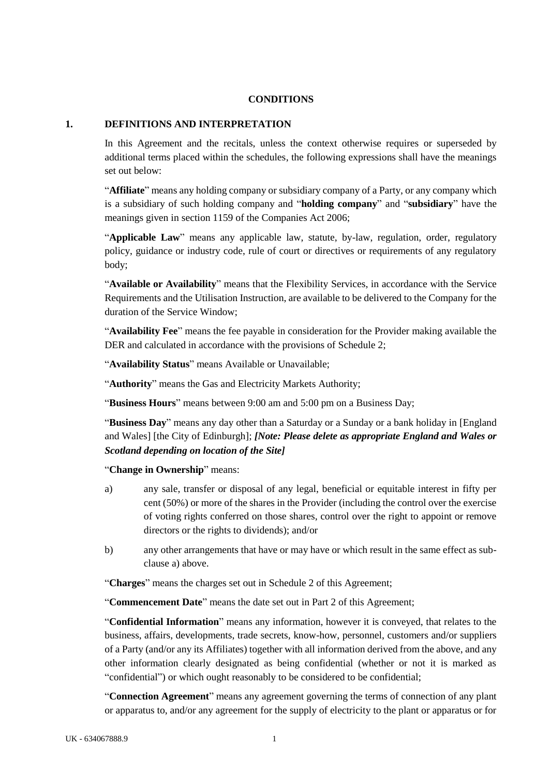#### **CONDITIONS**

#### <span id="page-5-0"></span>**1. DEFINITIONS AND INTERPRETATION**

In this Agreement and the recitals, unless the context otherwise requires or superseded by additional terms placed within the schedules, the following expressions shall have the meanings set out below:

"**Affiliate**" means any holding company or subsidiary company of a Party, or any company which is a subsidiary of such holding company and "**holding company**" and "**subsidiary**" have the meanings given in section 1159 of the Companies Act 2006;

"**Applicable Law**" means any applicable law, statute, by-law, regulation, order, regulatory policy, guidance or industry code, rule of court or directives or requirements of any regulatory body;

"**Available or Availability**" means that the Flexibility Services, in accordance with the Service Requirements and the Utilisation Instruction, are available to be delivered to the Company for the duration of the Service Window;

"**Availability Fee**" means the fee payable in consideration for the Provider making available the DER and calculated in accordance with the provisions of [Schedule 2;](#page-29-0)

"**Availability Status**" means Available or Unavailable;

"**Authority**" means the Gas and Electricity Markets Authority;

"**Business Hours**" means between 9:00 am and 5:00 pm on a Business Day;

"**Business Day**" means any day other than a Saturday or a Sunday or a bank holiday in [England and Wales] [the City of Edinburgh]; *[Note: Please delete as appropriate England and Wales or Scotland depending on location of the Site]*

"**Change in Ownership**" means:

- <span id="page-5-1"></span>a) any sale, transfer or disposal of any legal, beneficial or equitable interest in fifty per cent (50%) or more of the shares in the Provider (including the control over the exercise of voting rights conferred on those shares, control over the right to appoint or remove directors or the rights to dividends); and/or
- b) any other arrangements that have or may have or which result in the same effect as subclause [a\)](#page-5-1) above.

"**Charges**" means the charges set out in [Schedule 2](#page-29-0) of this Agreement;

"**Commencement Date**" means the date set out in Part 2 of this Agreement;

"**Confidential Information**" means any information, however it is conveyed, that relates to the business, affairs, developments, trade secrets, know-how, personnel, customers and/or suppliers of a Party (and/or any its Affiliates) together with all information derived from the above, and any other information clearly designated as being confidential (whether or not it is marked as "confidential") or which ought reasonably to be considered to be confidential;

"**Connection Agreement**" means any agreement governing the terms of connection of any plant or apparatus to, and/or any agreement for the supply of electricity to the plant or apparatus or for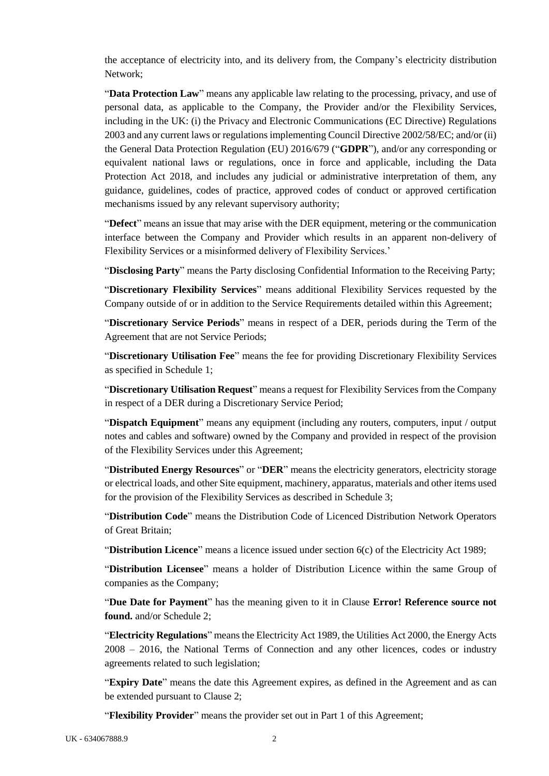the acceptance of electricity into, and its delivery from, the Company's electricity distribution Network;

"**Data Protection Law**" means any applicable law relating to the processing, privacy, and use of personal data, as applicable to the Company, the Provider and/or the Flexibility Services, including in the UK: (i) the Privacy and Electronic Communications (EC Directive) Regulations 2003 and any current laws or regulations implementing Council Directive 2002/58/EC; and/or (ii) the General Data Protection Regulation (EU) 2016/679 ("**GDPR**"), and/or any corresponding or equivalent national laws or regulations, once in force and applicable, including the Data Protection Act 2018, and includes any judicial or administrative interpretation of them, any guidance, guidelines, codes of practice, approved codes of conduct or approved certification mechanisms issued by any relevant supervisory authority;

"**Defect**" means an issue that may arise with the DER equipment, metering or the communication interface between the Company and Provider which results in an apparent non-delivery of Flexibility Services or a misinformed delivery of Flexibility Services.'

"**Disclosing Party**" means the Party disclosing Confidential Information to the Receiving Party;

"**Discretionary Flexibility Services**" means additional Flexibility Services requested by the Company outside of or in addition to the Service Requirements detailed within this Agreement;

"**Discretionary Service Periods**" means in respect of a DER, periods during the Term of the Agreement that are not Service Periods;

"**Discretionary Utilisation Fee**" means the fee for providing Discretionary Flexibility Services as specified in Schedule 1;

"**Discretionary Utilisation Request**" means a request for Flexibility Services from the Company in respect of a DER during a Discretionary Service Period;

"**Dispatch Equipment**" means any equipment (including any routers, computers, input / output notes and cables and software) owned by the Company and provided in respect of the provision of the Flexibility Services under this Agreement;

"**Distributed Energy Resources**" or "**DER**" means the electricity generators, electricity storage or electrical loads, and other Site equipment, machinery, apparatus, materials and other items used for the provision of the Flexibility Services as described in [Schedule 3;](#page-32-0)

"**Distribution Code**" means the Distribution Code of Licenced Distribution Network Operators of Great Britain;

"**Distribution Licence**" means a licence issued under section 6(c) of the Electricity Act 1989;

"**Distribution Licensee**" means a holder of Distribution Licence within the same Group of companies as the Company;

"**Due Date for Payment**" has the meaning given to it in Clause **Error! Reference source not found.** and/or Schedule 2;

"**Electricity Regulations**" means the Electricity Act 1989, the Utilities Act 2000, the Energy Acts 2008 – 2016, the National Terms of Connection and any other licences, codes or industry agreements related to such legislation;

"**Expiry Date**" means the date this Agreement expires, as defined in the Agreement and as can be extended pursuant to Clause [2;](#page-10-0)

"**Flexibility Provider**" means the provider set out in Part 1 of this Agreement;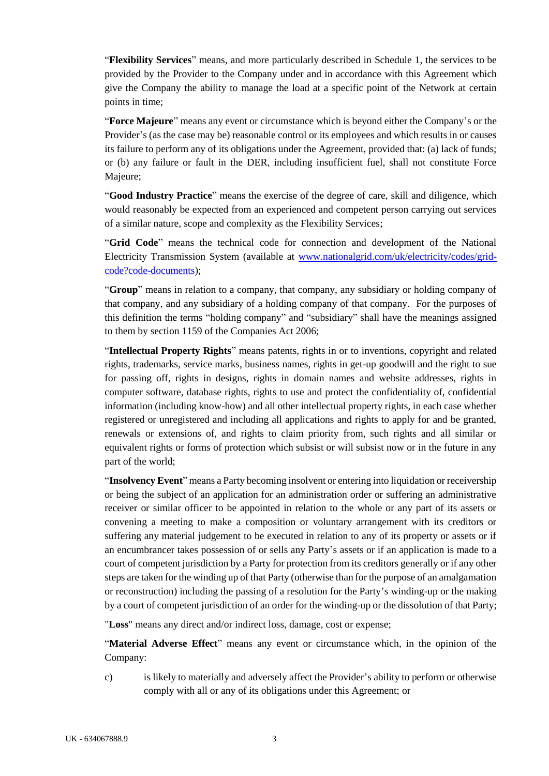"**Flexibility Services**" means, and more particularly described in [Schedule 1,](#page-25-0) the services to be provided by the Provider to the Company under and in accordance with this Agreement which give the Company the ability to manage the load at a specific point of the Network at certain points in time;

"**Force Majeure**" means any event or circumstance which is beyond either the Company's or the Provider's (as the case may be) reasonable control or its employees and which results in or causes its failure to perform any of its obligations under the Agreement, provided that: (a) lack of funds; or (b) any failure or fault in the DER, including insufficient fuel, shall not constitute Force Majeure;

"**Good Industry Practice**" means the exercise of the degree of care, skill and diligence, which would reasonably be expected from an experienced and competent person carrying out services of a similar nature, scope and complexity as the Flexibility Services;

"**Grid Code**" means the technical code for connection and development of the National Electricity Transmission System (available at www.nationalgrid.com/uk/electricity/codes/gridcode?code-documents);

"**Group**" means in relation to a company, that company, any subsidiary or holding company of that company, and any subsidiary of a holding company of that company. For the purposes of this definition the terms "holding company" and "subsidiary" shall have the meanings assigned to them by section 1159 of the Companies Act 2006;

"**Intellectual Property Rights**" means patents, rights in or to inventions, copyright and related rights, trademarks, service marks, business names, rights in get-up goodwill and the right to sue for passing off, rights in designs, rights in domain names and website addresses, rights in computer software, database rights, rights to use and protect the confidentiality of, confidential information (including know-how) and all other intellectual property rights, in each case whether registered or unregistered and including all applications and rights to apply for and be granted, renewals or extensions of, and rights to claim priority from, such rights and all similar or equivalent rights or forms of protection which subsist or will subsist now or in the future in any part of the world;

"**Insolvency Event**" means a Party becoming insolvent or entering into liquidation or receivership or being the subject of an application for an administration order or suffering an administrative receiver or similar officer to be appointed in relation to the whole or any part of its assets or convening a meeting to make a composition or voluntary arrangement with its creditors or suffering any material judgement to be executed in relation to any of its property or assets or if an encumbrancer takes possession of or sells any Party's assets or if an application is made to a court of competent jurisdiction by a Party for protection from its creditors generally or if any other steps are taken for the winding up of that Party (otherwise than for the purpose of an amalgamation or reconstruction) including the passing of a resolution for the Party's winding-up or the making by a court of competent jurisdiction of an order for the winding-up or the dissolution of that Party;

"**Loss**" means any direct and/or indirect loss, damage, cost or expense;

"**Material Adverse Effect**" means any event or circumstance which, in the opinion of the Company:

c) is likely to materially and adversely affect the Provider's ability to perform or otherwise comply with all or any of its obligations under this Agreement; or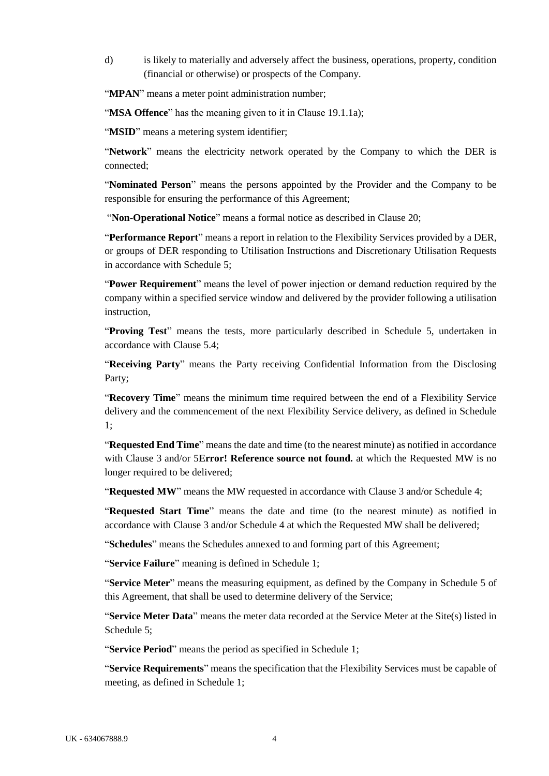d) is likely to materially and adversely affect the business, operations, property, condition (financial or otherwise) or prospects of the Company.

"**MPAN**" means a meter point administration number;

"**MSA Offence**" has the meaning given to it in Clause [19.1.1a\);](#page-20-4)

"**MSID**" means a metering system identifier;

"**Network**" means the electricity network operated by the Company to which the DER is connected;

"**Nominated Person**" means the persons appointed by the Provider and the Company to be responsible for ensuring the performance of this Agreement;

"**Non-Operational Notice**" means a formal notice as described in Clause 20;

"**Performance Report**" means a report in relation to the Flexibility Services provided by a DER, or groups of DER responding to Utilisation Instructions and Discretionary Utilisation Requests in accordance with [Schedule 5;](#page-37-0)

"**Power Requirement**" means the level of power injection or demand reduction required by the company within a specified service window and delivered by the provider following a utilisation instruction,

"**Proving Test**" means the tests, more particularly described in [Schedule 5,](#page-37-0) undertaken in accordance with Claus[e 5.4;](#page-11-3)

"**Receiving Party**" means the Party receiving Confidential Information from the Disclosing Party;

"**Recovery Time**" means the minimum time required between the end of a Flexibility Service delivery and the commencement of the next Flexibility Service delivery, as defined in [Schedule](#page-25-0)  [1;](#page-25-0)

"**Requested End Time**" means the date and time (to the nearest minute) as notified in accordance with Clause [3](#page-10-1) and/or 5**Error! Reference source not found.** at which the Requested MW is no longer required to be delivered;

"**Requested MW**" means the MW requested in accordance with Clause [3](#page-10-1) and/or Schedule 4;

"**Requested Start Time**" means the date and time (to the nearest minute) as notified in accordance with Clause [3](#page-10-1) and/or Schedule 4 at which the Requested MW shall be delivered;

"**Schedules**" means the Schedules annexed to and forming part of this Agreement;

"**Service Failure**" meaning is defined in [Schedule 1;](#page-25-0)

"**Service Meter**" means the measuring equipment, as defined by the Company in Schedule [5](#page-37-0) of this Agreement, that shall be used to determine delivery of the Service;

"**Service Meter Data**" means the meter data recorded at the Service Meter at the Site(s) listed in Schedule [5;](#page-37-0)

"**Service Period**" means the period as specified i[n Schedule 1;](#page-25-0)

"**Service Requirements**" means the specification that the Flexibility Services must be capable of meeting, as defined in Schedule [1;](#page-25-0)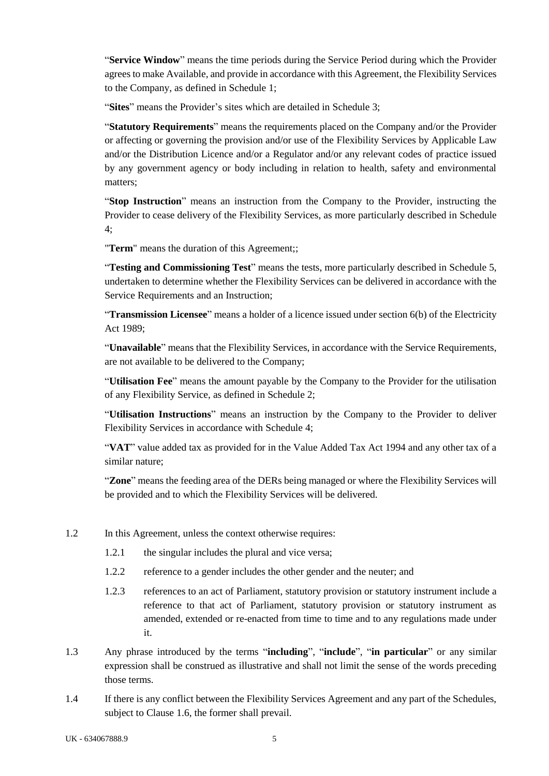"**Service Window**" means the time periods during the Service Period during which the Provider agrees to make Available, and provide in accordance with this Agreement, the Flexibility Services to the Company, as defined in [Schedule 1;](#page-25-0)

"**Sites**" means the Provider's sites which are detailed in [Schedule 3;](#page-32-0)

"**Statutory Requirements**" means the requirements placed on the Company and/or the Provider or affecting or governing the provision and/or use of the Flexibility Services by Applicable Law and/or the Distribution Licence and/or a Regulator and/or any relevant codes of practice issued by any government agency or body including in relation to health, safety and environmental matters;

"**Stop Instruction**" means an instruction from the Company to the Provider, instructing the Provider to cease delivery of the Flexibility Services, as more particularly described in Schedule 4;

"**Term**" means the duration of this Agreement;;

"**Testing and Commissioning Test**" means the tests, more particularly described in Schedule 5, undertaken to determine whether the Flexibility Services can be delivered in accordance with the Service Requirements and an Instruction;

"**Transmission Licensee**" means a holder of a licence issued under section 6(b) of the Electricity Act 1989;

"**Unavailable**" means that the Flexibility Services, in accordance with the Service Requirements, are not available to be delivered to the Company;

"**Utilisation Fee**" means the amount payable by the Company to the Provider for the utilisation of any Flexibility Service, as defined in Schedule [2;](#page-29-0)

"**Utilisation Instructions**" means an instruction by the Company to the Provider to deliver Flexibility Services in accordance with Schedule 4;

"**VAT**" value added tax as provided for in the Value Added Tax Act 1994 and any other tax of a similar nature;

"**Zone**" means the feeding area of the DERs being managed or where the Flexibility Services will be provided and to which the Flexibility Services will be delivered.

- 1.2 In this Agreement, unless the context otherwise requires:
	- 1.2.1 the singular includes the plural and vice versa;
	- 1.2.2 reference to a gender includes the other gender and the neuter; and
	- 1.2.3 references to an act of Parliament, statutory provision or statutory instrument include a reference to that act of Parliament, statutory provision or statutory instrument as amended, extended or re-enacted from time to time and to any regulations made under it.
- 1.3 Any phrase introduced by the terms "**including**", "**include**", "**in particular**" or any similar expression shall be construed as illustrative and shall not limit the sense of the words preceding those terms.
- 1.4 If there is any conflict between the Flexibility Services Agreement and any part of the Schedules, subject to Clause [1.6,](#page-10-2) the former shall prevail.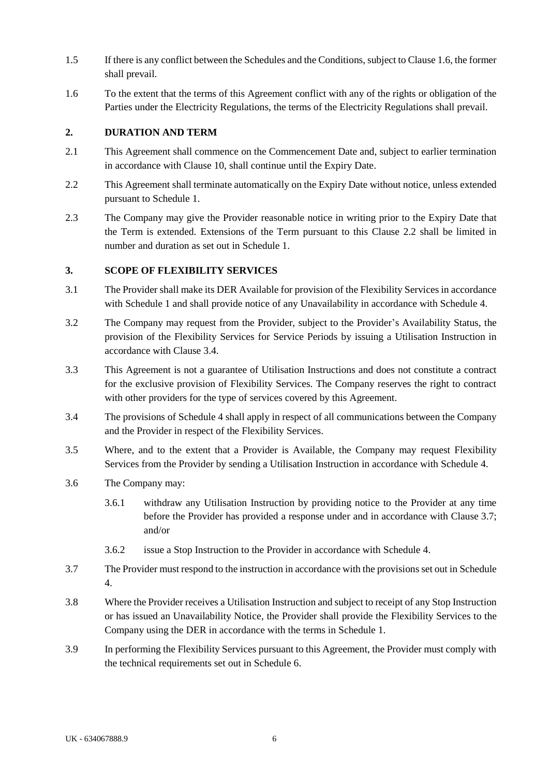- 1.5 If there is any conflict between the Schedules and the Conditions, subject to Claus[e 1.6,](#page-10-2) the former shall prevail.
- <span id="page-10-2"></span>1.6 To the extent that the terms of this Agreement conflict with any of the rights or obligation of the Parties under the Electricity Regulations, the terms of the Electricity Regulations shall prevail.

#### <span id="page-10-0"></span>**2. DURATION AND TERM**

- 2.1 This Agreement shall commence on the Commencement Date and, subject to earlier termination in accordance with Clause 10, shall continue until the Expiry Date.
- <span id="page-10-3"></span>2.2 This Agreement shall terminate automatically on the Expiry Date without notice, unless extended pursuant to [Schedule 1.](#page-25-0)
- 2.3 The Company may give the Provider reasonable notice in writing prior to the Expiry Date that the Term is extended. Extensions of the Term pursuant to this Clause [2.2](#page-10-3) shall be limited in number and duration as set out in [Schedule 1.](#page-25-0)

#### <span id="page-10-1"></span>**3. SCOPE OF FLEXIBILITY SERVICES**

- <span id="page-10-6"></span>3.1 The Provider shall make its DER Available for provision of the Flexibility Services in accordance with [Schedule 1](#page-25-0) and shall provide notice of any Unavailability in accordance with [Schedule 4.](#page-33-0)
- 3.2 The Company may request from the Provider, subject to the Provider's Availability Status, the provision of the Flexibility Services for Service Periods by issuing a Utilisation Instruction in accordance with Claus[e 3.4.](#page-10-4)
- 3.3 This Agreement is not a guarantee of Utilisation Instructions and does not constitute a contract for the exclusive provision of Flexibility Services. The Company reserves the right to contract with other providers for the type of services covered by this Agreement.
- <span id="page-10-4"></span>3.4 The provisions of [Schedule 4](#page-33-0) shall apply in respect of all communications between the Company and the Provider in respect of the Flexibility Services.
- 3.5 Where, and to the extent that a Provider is Available, the Company may request Flexibility Services from the Provider by sending a Utilisation Instruction in accordance with [Schedule 4.](#page-33-0)
- 3.6 The Company may:
	- 3.6.1 withdraw any Utilisation Instruction by providing notice to the Provider at any time before the Provider has provided a response under and in accordance with Clause [3.7;](#page-10-5) and/or
	- 3.6.2 issue a Stop Instruction to the Provider in accordance with [Schedule 4.](#page-33-0)
- <span id="page-10-5"></span>3.7 The Provider must respond to the instruction in accordance with the provisions set out i[n Schedule](#page-33-0)  [4.](#page-33-0)
- 3.8 Where the Provider receives a Utilisation Instruction and subject to receipt of any Stop Instruction or has issued an Unavailability Notice, the Provider shall provide the Flexibility Services to the Company using the DER in accordance with the terms in Schedule 1.
- 3.9 In performing the Flexibility Services pursuant to this Agreement, the Provider must comply with the technical requirements set out in [Schedule 6.](#page-40-0)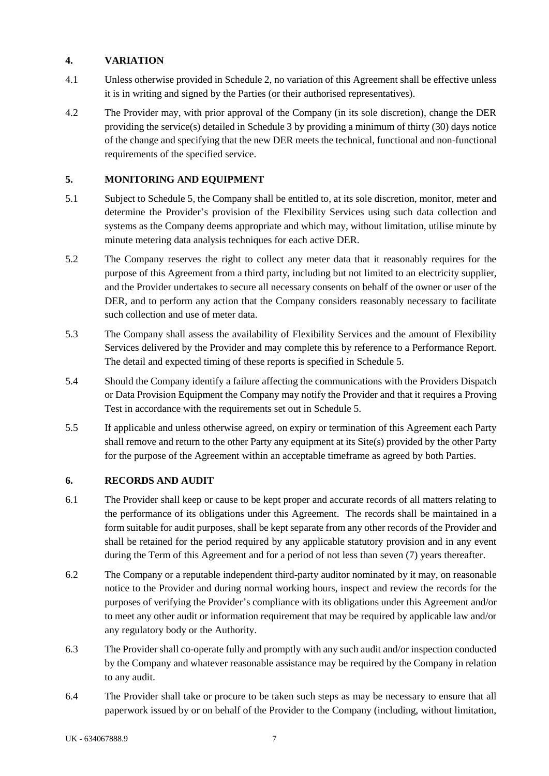# <span id="page-11-0"></span>**4. VARIATION**

- 4.1 Unless otherwise provided in Schedule 2, no variation of this Agreement shall be effective unless it is in writing and signed by the Parties (or their authorised representatives).
- 4.2 The Provider may, with prior approval of the Company (in its sole discretion), change the DER providing the service(s) detailed in [Schedule 3](#page-32-0) by providing a minimum of thirty (30) days notice of the change and specifying that the new DER meets the technical, functional and non-functional requirements of the specified service.

# <span id="page-11-1"></span>**5. MONITORING AND EQUIPMENT**

- 5.1 Subject to [Schedule 5,](#page-37-0) the Company shall be entitled to, at its sole discretion, monitor, meter and determine the Provider's provision of the Flexibility Services using such data collection and systems as the Company deems appropriate and which may, without limitation, utilise minute by minute metering data analysis techniques for each active DER.
- 5.2 The Company reserves the right to collect any meter data that it reasonably requires for the purpose of this Agreement from a third party, including but not limited to an electricity supplier, and the Provider undertakes to secure all necessary consents on behalf of the owner or user of the DER, and to perform any action that the Company considers reasonably necessary to facilitate such collection and use of meter data.
- 5.3 The Company shall assess the availability of Flexibility Services and the amount of Flexibility Services delivered by the Provider and may complete this by reference to a Performance Report. The detail and expected timing of these reports is specified in Schedule 5.
- <span id="page-11-3"></span>5.4 Should the Company identify a failure affecting the communications with the Providers Dispatch or Data Provision Equipment the Company may notify the Provider and that it requires a Proving Test in accordance with the requirements set out in [Schedule 5.](#page-37-0)
- 5.5 If applicable and unless otherwise agreed, on expiry or termination of this Agreement each Party shall remove and return to the other Party any equipment at its Site(s) provided by the other Party for the purpose of the Agreement within an acceptable timeframe as agreed by both Parties.

# <span id="page-11-2"></span>**6. RECORDS AND AUDIT**

- 6.1 The Provider shall keep or cause to be kept proper and accurate records of all matters relating to the performance of its obligations under this Agreement. The records shall be maintained in a form suitable for audit purposes, shall be kept separate from any other records of the Provider and shall be retained for the period required by any applicable statutory provision and in any event during the Term of this Agreement and for a period of not less than seven (7) years thereafter.
- 6.2 The Company or a reputable independent third-party auditor nominated by it may, on reasonable notice to the Provider and during normal working hours, inspect and review the records for the purposes of verifying the Provider's compliance with its obligations under this Agreement and/or to meet any other audit or information requirement that may be required by applicable law and/or any regulatory body or the Authority.
- 6.3 The Provider shall co-operate fully and promptly with any such audit and/or inspection conducted by the Company and whatever reasonable assistance may be required by the Company in relation to any audit.
- 6.4 The Provider shall take or procure to be taken such steps as may be necessary to ensure that all paperwork issued by or on behalf of the Provider to the Company (including, without limitation,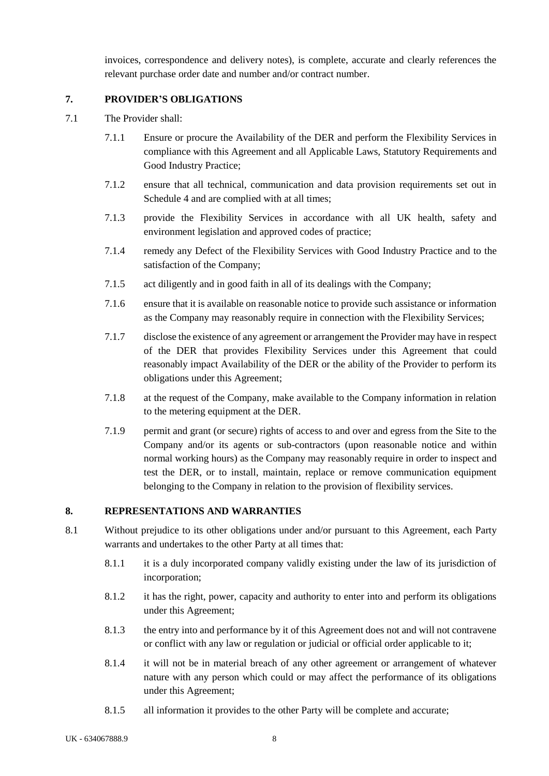invoices, correspondence and delivery notes), is complete, accurate and clearly references the relevant purchase order date and number and/or contract number.

# <span id="page-12-0"></span>**7. PROVIDER'S OBLIGATIONS**

- 7.1 The Provider shall:
	- 7.1.1 Ensure or procure the Availability of the DER and perform the Flexibility Services in compliance with this Agreement and all Applicable Laws, Statutory Requirements and Good Industry Practice;
	- 7.1.2 ensure that all technical, communication and data provision requirements set out in Schedule [4](#page-33-0) and are complied with at all times;
	- 7.1.3 provide the Flexibility Services in accordance with all UK health, safety and environment legislation and approved codes of practice;
	- 7.1.4 remedy any Defect of the Flexibility Services with Good Industry Practice and to the satisfaction of the Company;
	- 7.1.5 act diligently and in good faith in all of its dealings with the Company;
	- 7.1.6 ensure that it is available on reasonable notice to provide such assistance or information as the Company may reasonably require in connection with the Flexibility Services;
	- 7.1.7 disclose the existence of any agreement or arrangement the Provider may have in respect of the DER that provides Flexibility Services under this Agreement that could reasonably impact Availability of the DER or the ability of the Provider to perform its obligations under this Agreement;
	- 7.1.8 at the request of the Company, make available to the Company information in relation to the metering equipment at the DER.
	- 7.1.9 permit and grant (or secure) rights of access to and over and egress from the Site to the Company and/or its agents or sub-contractors (upon reasonable notice and within normal working hours) as the Company may reasonably require in order to inspect and test the DER, or to install, maintain, replace or remove communication equipment belonging to the Company in relation to the provision of flexibility services.

# <span id="page-12-1"></span>**8. REPRESENTATIONS AND WARRANTIES**

- 8.1 Without prejudice to its other obligations under and/or pursuant to this Agreement, each Party warrants and undertakes to the other Party at all times that:
	- 8.1.1 it is a duly incorporated company validly existing under the law of its jurisdiction of incorporation;
	- 8.1.2 it has the right, power, capacity and authority to enter into and perform its obligations under this Agreement;
	- 8.1.3 the entry into and performance by it of this Agreement does not and will not contravene or conflict with any law or regulation or judicial or official order applicable to it;
	- 8.1.4 it will not be in material breach of any other agreement or arrangement of whatever nature with any person which could or may affect the performance of its obligations under this Agreement;
	- 8.1.5 all information it provides to the other Party will be complete and accurate;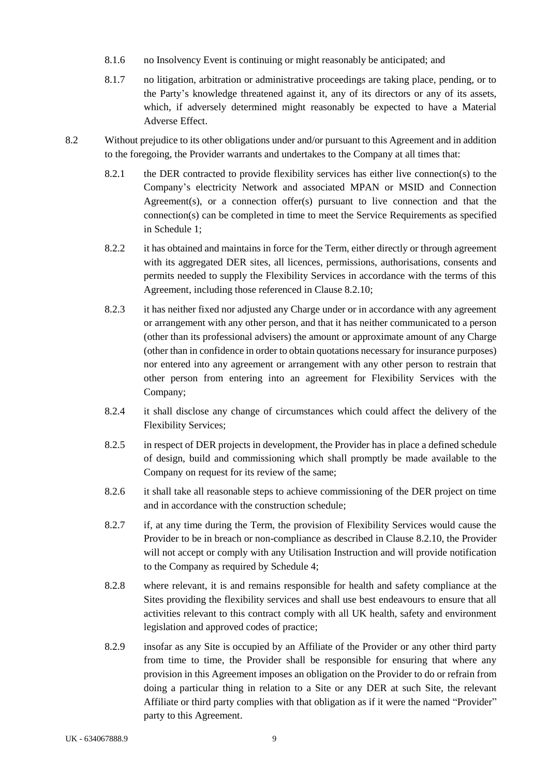- 8.1.6 no Insolvency Event is continuing or might reasonably be anticipated; and
- 8.1.7 no litigation, arbitration or administrative proceedings are taking place, pending, or to the Party's knowledge threatened against it, any of its directors or any of its assets, which, if adversely determined might reasonably be expected to have a Material Adverse Effect.
- 8.2 Without prejudice to its other obligations under and/or pursuant to this Agreement and in addition to the foregoing, the Provider warrants and undertakes to the Company at all times that:
	- 8.2.1 the DER contracted to provide flexibility services has either live connection(s) to the Company's electricity Network and associated MPAN or MSID and Connection Agreement(s), or a connection offer(s) pursuant to live connection and that the connection(s) can be completed in time to meet the Service Requirements as specified in [Schedule 1;](#page-25-0)
	- 8.2.2 it has obtained and maintains in force for the Term, either directly or through agreement with its aggregated DER sites, all licences, permissions, authorisations, consents and permits needed to supply the Flexibility Services in accordance with the terms of this Agreement, including those referenced in Clause 8.2.10;
	- 8.2.3 it has neither fixed nor adjusted any Charge under or in accordance with any agreement or arrangement with any other person, and that it has neither communicated to a person (other than its professional advisers) the amount or approximate amount of any Charge (other than in confidence in order to obtain quotations necessary for insurance purposes) nor entered into any agreement or arrangement with any other person to restrain that other person from entering into an agreement for Flexibility Services with the Company;
	- 8.2.4 it shall disclose any change of circumstances which could affect the delivery of the Flexibility Services;
	- 8.2.5 in respect of DER projects in development, the Provider has in place a defined schedule of design, build and commissioning which shall promptly be made available to the Company on request for its review of the same;
	- 8.2.6 it shall take all reasonable steps to achieve commissioning of the DER project on time and in accordance with the construction schedule;
	- 8.2.7 if, at any time during the Term, the provision of Flexibility Services would cause the Provider to be in breach or non-compliance as described in Clause 8.2.10, the Provider will not accept or comply with any Utilisation Instruction and will provide notification to the Company as required by Schedule 4;
	- 8.2.8 where relevant, it is and remains responsible for health and safety compliance at the Sites providing the flexibility services and shall use best endeavours to ensure that all activities relevant to this contract comply with all UK health, safety and environment legislation and approved codes of practice;
	- 8.2.9 insofar as any Site is occupied by an Affiliate of the Provider or any other third party from time to time, the Provider shall be responsible for ensuring that where any provision in this Agreement imposes an obligation on the Provider to do or refrain from doing a particular thing in relation to a Site or any DER at such Site, the relevant Affiliate or third party complies with that obligation as if it were the named "Provider" party to this Agreement.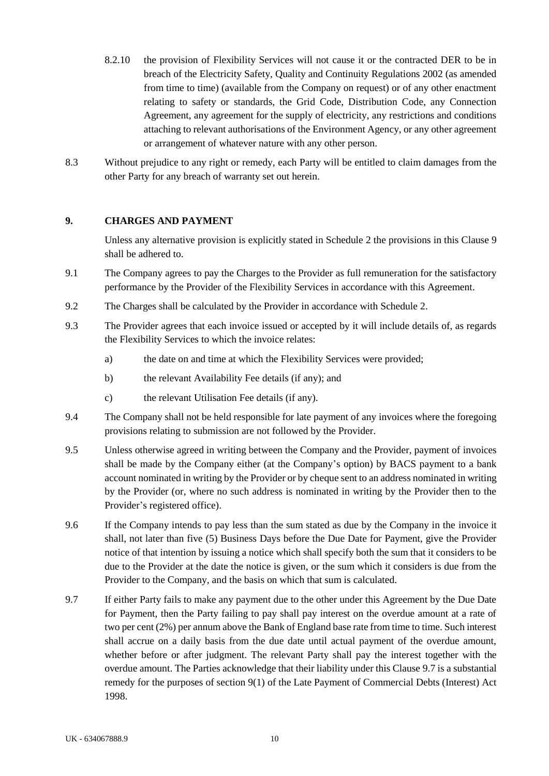- 8.2.10 the provision of Flexibility Services will not cause it or the contracted DER to be in breach of the Electricity Safety, Quality and Continuity Regulations 2002 (as amended from time to time) (available from the Company on request) or of any other enactment relating to safety or standards, the Grid Code, Distribution Code, any Connection Agreement, any agreement for the supply of electricity, any restrictions and conditions attaching to relevant authorisations of the Environment Agency, or any other agreement or arrangement of whatever nature with any other person.
- 8.3 Without prejudice to any right or remedy, each Party will be entitled to claim damages from the other Party for any breach of warranty set out herein.

#### <span id="page-14-0"></span>**9. CHARGES AND PAYMENT**

Unless any alternative provision is explicitly stated in [Schedule 2](#page-29-0) the provisions in this Clause 9 shall be adhered to.

- 9.1 The Company agrees to pay the Charges to the Provider as full remuneration for the satisfactory performance by the Provider of the Flexibility Services in accordance with this Agreement.
- 9.2 The Charges shall be calculated by the Provider in accordance with [Schedule 2.](#page-29-0)
- 9.3 The Provider agrees that each invoice issued or accepted by it will include details of, as regards the Flexibility Services to which the invoice relates:
	- a) the date on and time at which the Flexibility Services were provided;
	- b) the relevant Availability Fee details (if any); and
	- c) the relevant Utilisation Fee details (if any).
- 9.4 The Company shall not be held responsible for late payment of any invoices where the foregoing provisions relating to submission are not followed by the Provider.
- 9.5 Unless otherwise agreed in writing between the Company and the Provider, payment of invoices shall be made by the Company either (at the Company's option) by BACS payment to a bank account nominated in writing by the Provider or by cheque sent to an address nominated in writing by the Provider (or, where no such address is nominated in writing by the Provider then to the Provider's registered office).
- 9.6 If the Company intends to pay less than the sum stated as due by the Company in the invoice it shall, not later than five (5) Business Days before the Due Date for Payment, give the Provider notice of that intention by issuing a notice which shall specify both the sum that it considers to be due to the Provider at the date the notice is given, or the sum which it considers is due from the Provider to the Company, and the basis on which that sum is calculated.
- <span id="page-14-1"></span>9.7 If either Party fails to make any payment due to the other under this Agreement by the Due Date for Payment, then the Party failing to pay shall pay interest on the overdue amount at a rate of two per cent (2%) per annum above the Bank of England base rate from time to time. Such interest shall accrue on a daily basis from the due date until actual payment of the overdue amount, whether before or after judgment. The relevant Party shall pay the interest together with the overdue amount. The Parties acknowledge that their liability under this Clause [9.7](#page-14-1) is a substantial remedy for the purposes of section 9(1) of the Late Payment of Commercial Debts (Interest) Act 1998.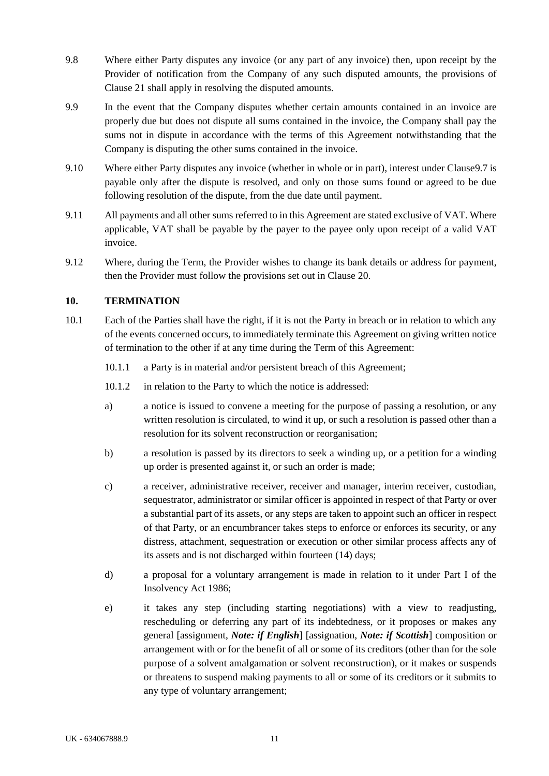- 9.8 Where either Party disputes any invoice (or any part of any invoice) then, upon receipt by the Provider of notification from the Company of any such disputed amounts, the provisions of Clause [21](#page-22-0) shall apply in resolving the disputed amounts.
- 9.9 In the event that the Company disputes whether certain amounts contained in an invoice are properly due but does not dispute all sums contained in the invoice, the Company shall pay the sums not in dispute in accordance with the terms of this Agreement notwithstanding that the Company is disputing the other sums contained in the invoice.
- 9.10 Where either Party disputes any invoice (whether in whole or in part), interest under Clause9.7 is payable only after the dispute is resolved, and only on those sums found or agreed to be due following resolution of the dispute, from the due date until payment.
- 9.11 All payments and all other sums referred to in this Agreement are stated exclusive of VAT. Where applicable, VAT shall be payable by the payer to the payee only upon receipt of a valid VAT invoice.
- 9.12 Where, during the Term, the Provider wishes to change its bank details or address for payment, then the Provider must follow the provisions set out in Clause 20.

# <span id="page-15-0"></span>**10. TERMINATION**

- <span id="page-15-3"></span><span id="page-15-2"></span><span id="page-15-1"></span>10.1 Each of the Parties shall have the right, if it is not the Party in breach or in relation to which any of the events concerned occurs, to immediately terminate this Agreement on giving written notice of termination to the other if at any time during the Term of this Agreement:
	- 10.1.1 a Party is in material and/or persistent breach of this Agreement;
	- 10.1.2 in relation to the Party to which the notice is addressed:
	- a) a notice is issued to convene a meeting for the purpose of passing a resolution, or any written resolution is circulated, to wind it up, or such a resolution is passed other than a resolution for its solvent reconstruction or reorganisation;
	- b) a resolution is passed by its directors to seek a winding up, or a petition for a winding up order is presented against it, or such an order is made;
	- c) a receiver, administrative receiver, receiver and manager, interim receiver, custodian, sequestrator, administrator or similar officer is appointed in respect of that Party or over a substantial part of its assets, or any steps are taken to appoint such an officer in respect of that Party, or an encumbrancer takes steps to enforce or enforces its security, or any distress, attachment, sequestration or execution or other similar process affects any of its assets and is not discharged within fourteen (14) days;
	- d) a proposal for a voluntary arrangement is made in relation to it under Part I of the Insolvency Act 1986;
	- e) it takes any step (including starting negotiations) with a view to readjusting, rescheduling or deferring any part of its indebtedness, or it proposes or makes any general [assignment, *Note: if English*] [assignation, *Note: if Scottish*] composition or arrangement with or for the benefit of all or some of its creditors (other than for the sole purpose of a solvent amalgamation or solvent reconstruction), or it makes or suspends or threatens to suspend making payments to all or some of its creditors or it submits to any type of voluntary arrangement;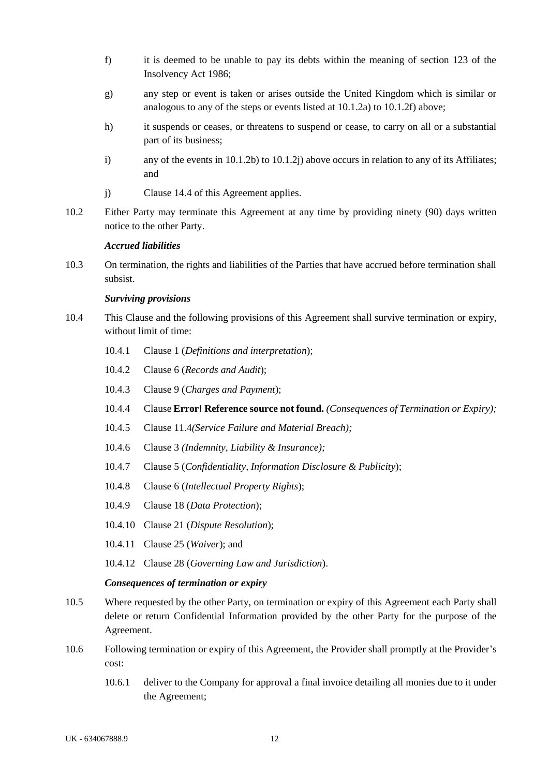- <span id="page-16-0"></span>f) it is deemed to be unable to pay its debts within the meaning of section 123 of the Insolvency Act 1986;
- g) any step or event is taken or arises outside the United Kingdom which is similar or analogous to any of the steps or events listed at [10.1.2a\)](#page-15-1) to [10.1.2f\)](#page-16-0) above;
- h) it suspends or ceases, or threatens to suspend or cease, to carry on all or a substantial part of its business;
- i) any of the events in  $10.1.2b$  to  $10.1.2j$  above occurs in relation to any of its Affiliates; and
- j) Claus[e 14.4](#page-19-1) of this Agreement applies.
- <span id="page-16-1"></span>10.2 Either Party may terminate this Agreement at any time by providing ninety (90) days written notice to the other Party.

#### *Accrued liabilities*

10.3 On termination, the rights and liabilities of the Parties that have accrued before termination shall subsist.

#### *Surviving provisions*

- 10.4 This Clause and the following provisions of this Agreement shall survive termination or expiry, without limit of time:
	- 10.4.1 Claus[e 1](#page-5-0) (*Definitions and interpretation*);
	- 10.4.2 Clause 6 (*Records and Audit*);
	- 10.4.3 Clause 9 (*Charges and Payment*);
	- 10.4.4 Clause **Error! Reference source not found.** *(Consequences of Termination or Expiry);*
	- 10.4.5 Claus[e 11.4](#page-17-2)*(Service Failure and Material Breach);*
	- 10.4.6 Clause 3 *(Indemnity, Liability & Insurance);*
	- 10.4.7 Clause 5 (*Confidentiality, Information Disclosure & Publicity*);
	- 10.4.8 Clause 6 (*Intellectual Property Rights*);
	- 10.4.9 Clause 18 (*Data Protection*);
	- 10.4.10 Clause 21 (*Dispute Resolution*);
	- 10.4.11 Clause 25 (*Waiver*); and
	- 10.4.12 Clause 28 (*Governing Law and Jurisdiction*).

#### *Consequences of termination or expiry*

- 10.5 Where requested by the other Party, on termination or expiry of this Agreement each Party shall delete or return Confidential Information provided by the other Party for the purpose of the Agreement.
- 10.6 Following termination or expiry of this Agreement, the Provider shall promptly at the Provider's cost:
	- 10.6.1 deliver to the Company for approval a final invoice detailing all monies due to it under the Agreement;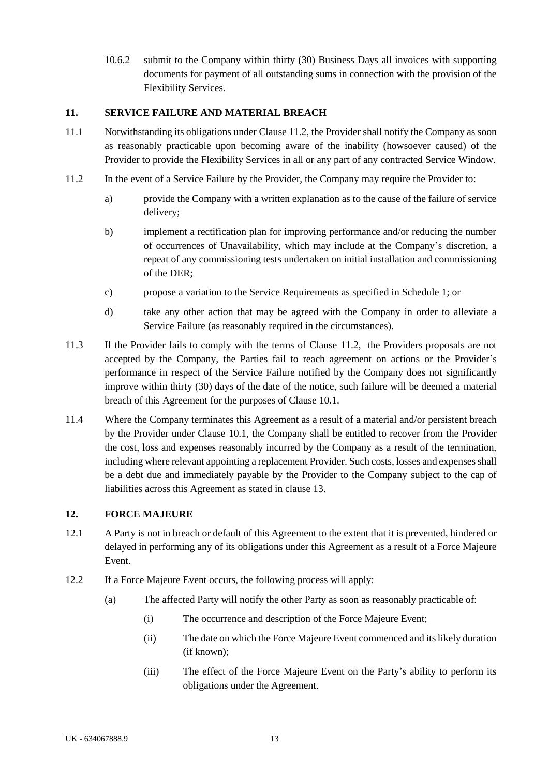10.6.2 submit to the Company within thirty (30) Business Days all invoices with supporting documents for payment of all outstanding sums in connection with the provision of the Flexibility Services.

#### <span id="page-17-0"></span>**11. SERVICE FAILURE AND MATERIAL BREACH**

- 11.1 Notwithstanding its obligations under Clause 11.2, the Provider shall notify the Company as soon as reasonably practicable upon becoming aware of the inability (howsoever caused) of the Provider to provide the Flexibility Services in all or any part of any contracted Service Window.
- <span id="page-17-3"></span>11.2 In the event of a Service Failure by the Provider, the Company may require the Provider to:
	- a) provide the Company with a written explanation as to the cause of the failure of service delivery;
	- b) implement a rectification plan for improving performance and/or reducing the number of occurrences of Unavailability, which may include at the Company's discretion, a repeat of any commissioning tests undertaken on initial installation and commissioning of the DER;
	- c) propose a variation to the Service Requirements as specified in [Schedule 1;](#page-25-0) or
	- d) take any other action that may be agreed with the Company in order to alleviate a Service Failure (as reasonably required in the circumstances).
- 11.3 If the Provider fails to comply with the terms of Clause [11.2,](#page-17-3) the Providers proposals are not accepted by the Company, the Parties fail to reach agreement on actions or the Provider's performance in respect of the Service Failure notified by the Company does not significantly improve within thirty (30) days of the date of the notice, such failure will be deemed a material breach of this Agreement for the purposes of Clause [10.1.](#page-15-3)
- <span id="page-17-2"></span>11.4 Where the Company terminates this Agreement as a result of a material and/or persistent breach by the Provider under Clause [10.1,](#page-15-3) the Company shall be entitled to recover from the Provider the cost, loss and expenses reasonably incurred by the Company as a result of the termination, including where relevant appointing a replacement Provider. Such costs, losses and expensesshall be a debt due and immediately payable by the Provider to the Company subject to the cap of liabilities across this Agreement as stated in clause 13.

# <span id="page-17-1"></span>**12. FORCE MAJEURE**

- 12.1 A Party is not in breach or default of this Agreement to the extent that it is prevented, hindered or delayed in performing any of its obligations under this Agreement as a result of a Force Majeure Event.
- 12.2 If a Force Majeure Event occurs, the following process will apply:
	- (a) The affected Party will notify the other Party as soon as reasonably practicable of:
		- (i) The occurrence and description of the Force Majeure Event;
		- (ii) The date on which the Force Majeure Event commenced and its likely duration (if known);
		- (iii) The effect of the Force Majeure Event on the Party's ability to perform its obligations under the Agreement.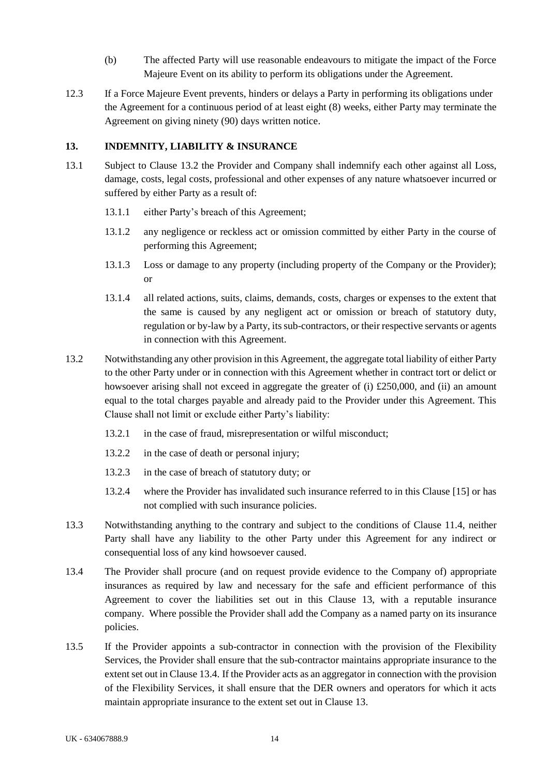- <span id="page-18-0"></span>(b) The affected Party will use reasonable endeavours to mitigate the impact of the Force Majeure Event on its ability to perform its obligations under the Agreement.
- 12.3 If a Force Majeure Event prevents, hinders or delays a Party in performing its obligations under the Agreement for a continuous period of at least eight (8) weeks, either Party may terminate the Agreement on giving ninety (90) days written notice.

#### **13. INDEMNITY, LIABILITY & INSURANCE**

- 13.1 Subject to Clause 13.2 the Provider and Company shall indemnify each other against all Loss, damage, costs, legal costs, professional and other expenses of any nature whatsoever incurred or suffered by either Party as a result of:
	- 13.1.1 either Party's breach of this Agreement;
	- 13.1.2 any negligence or reckless act or omission committed by either Party in the course of performing this Agreement;
	- 13.1.3 Loss or damage to any property (including property of the Company or the Provider); or
	- 13.1.4 all related actions, suits, claims, demands, costs, charges or expenses to the extent that the same is caused by any negligent act or omission or breach of statutory duty, regulation or by-law by a Party, its sub-contractors, or their respective servants or agents in connection with this Agreement.
- 13.2 Notwithstanding any other provision in this Agreement, the aggregate total liability of either Party to the other Party under or in connection with this Agreement whether in contract tort or delict or howsoever arising shall not exceed in aggregate the greater of (i) £250,000, and (ii) an amount equal to the total charges payable and already paid to the Provider under this Agreement. This Clause shall not limit or exclude either Party's liability:
	- 13.2.1 in the case of fraud, misrepresentation or wilful misconduct;
	- 13.2.2 in the case of death or personal injury;
	- 13.2.3 in the case of breach of statutory duty; or
	- 13.2.4 where the Provider has invalidated such insurance referred to in this Clause [15] or has not complied with such insurance policies.
- 13.3 Notwithstanding anything to the contrary and subject to the conditions of Clause 11.4, neither Party shall have any liability to the other Party under this Agreement for any indirect or consequential loss of any kind howsoever caused.
- 13.4 The Provider shall procure (and on request provide evidence to the Company of) appropriate insurances as required by law and necessary for the safe and efficient performance of this Agreement to cover the liabilities set out in this Clause 13, with a reputable insurance company. Where possible the Provider shall add the Company as a named party on its insurance policies.
- 13.5 If the Provider appoints a sub-contractor in connection with the provision of the Flexibility Services, the Provider shall ensure that the sub-contractor maintains appropriate insurance to the extent set out in Clause 13.4. If the Provider acts as an aggregator in connection with the provision of the Flexibility Services, it shall ensure that the DER owners and operators for which it acts maintain appropriate insurance to the extent set out in Clause 13.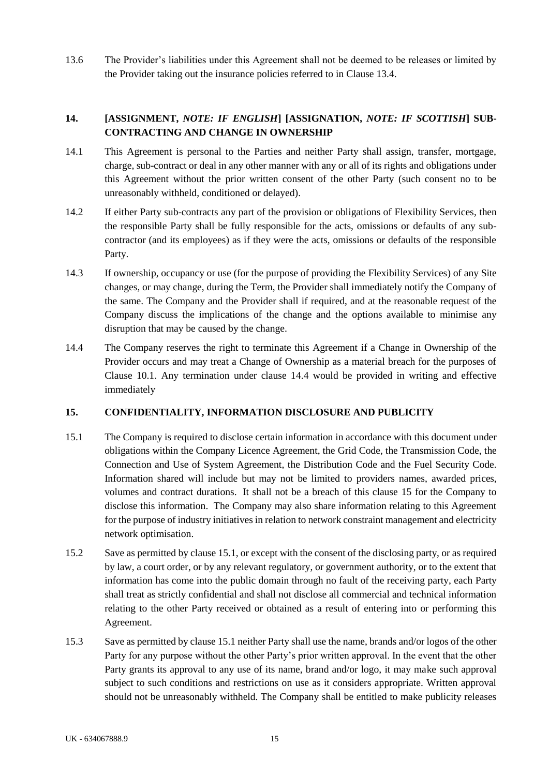13.6 The Provider's liabilities under this Agreement shall not be deemed to be releases or limited by the Provider taking out the insurance policies referred to in Clause 13.4.

# <span id="page-19-0"></span>**14. [ASSIGNMENT,** *NOTE: IF ENGLISH***] [ASSIGNATION,** *NOTE: IF SCOTTISH***] SUB-CONTRACTING AND CHANGE IN OWNERSHIP**

- 14.1 This Agreement is personal to the Parties and neither Party shall assign, transfer, mortgage, charge, sub-contract or deal in any other manner with any or all of its rights and obligations under this Agreement without the prior written consent of the other Party (such consent no to be unreasonably withheld, conditioned or delayed).
- 14.2 If either Party sub-contracts any part of the provision or obligations of Flexibility Services, then the responsible Party shall be fully responsible for the acts, omissions or defaults of any subcontractor (and its employees) as if they were the acts, omissions or defaults of the responsible Party.
- 14.3 If ownership, occupancy or use (for the purpose of providing the Flexibility Services) of any Site changes, or may change, during the Term, the Provider shall immediately notify the Company of the same. The Company and the Provider shall if required, and at the reasonable request of the Company discuss the implications of the change and the options available to minimise any disruption that may be caused by the change.
- <span id="page-19-1"></span>14.4 The Company reserves the right to terminate this Agreement if a Change in Ownership of the Provider occurs and may treat a Change of Ownership as a material breach for the purposes of Clause [10.1.](#page-15-3) Any termination under clause 14.4 would be provided in writing and effective immediately

# **15. CONFIDENTIALITY, INFORMATION DISCLOSURE AND PUBLICITY**

- 15.1 The Company is required to disclose certain information in accordance with this document under obligations within the Company Licence Agreement, the Grid Code, the Transmission Code, the Connection and Use of System Agreement, the Distribution Code and the Fuel Security Code. Information shared will include but may not be limited to providers names, awarded prices, volumes and contract durations. It shall not be a breach of this clause 15 for the Company to disclose this information. The Company may also share information relating to this Agreement for the purpose of industry initiatives in relation to network constraint management and electricity network optimisation.
- 15.2 Save as permitted by clause 15.1, or except with the consent of the disclosing party, or as required by law, a court order, or by any relevant regulatory, or government authority, or to the extent that information has come into the public domain through no fault of the receiving party, each Party shall treat as strictly confidential and shall not disclose all commercial and technical information relating to the other Party received or obtained as a result of entering into or performing this Agreement.
- 15.3 Save as permitted by clause 15.1 neither Party shall use the name, brands and/or logos of the other Party for any purpose without the other Party's prior written approval. In the event that the other Party grants its approval to any use of its name, brand and/or logo, it may make such approval subject to such conditions and restrictions on use as it considers appropriate. Written approval should not be unreasonably withheld. The Company shall be entitled to make publicity releases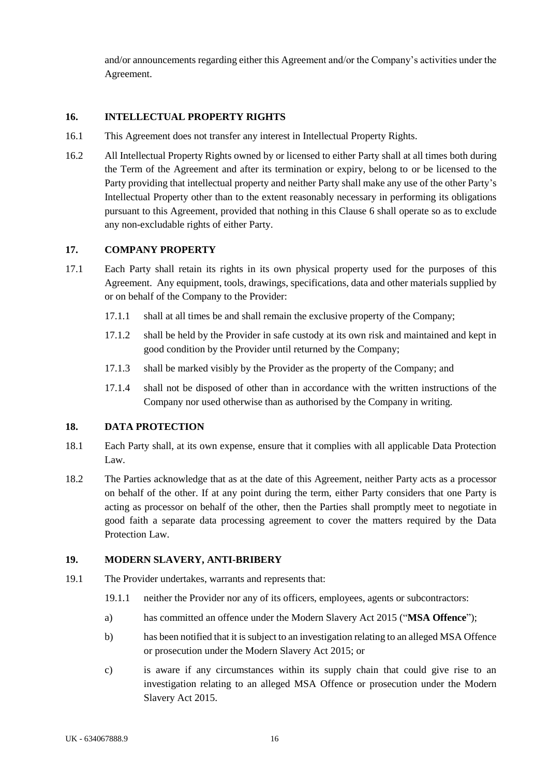and/or announcements regarding either this Agreement and/or the Company's activities under the Agreement.

#### <span id="page-20-0"></span>**16. INTELLECTUAL PROPERTY RIGHTS**

- 16.1 This Agreement does not transfer any interest in Intellectual Property Rights.
- 16.2 All Intellectual Property Rights owned by or licensed to either Party shall at all times both during the Term of the Agreement and after its termination or expiry, belong to or be licensed to the Party providing that intellectual property and neither Party shall make any use of the other Party's Intellectual Property other than to the extent reasonably necessary in performing its obligations pursuant to this Agreement, provided that nothing in this Clause 6 shall operate so as to exclude any non-excludable rights of either Party.

#### <span id="page-20-1"></span>**17. COMPANY PROPERTY**

- 17.1 Each Party shall retain its rights in its own physical property used for the purposes of this Agreement. Any equipment, tools, drawings, specifications, data and other materials supplied by or on behalf of the Company to the Provider:
	- 17.1.1 shall at all times be and shall remain the exclusive property of the Company;
	- 17.1.2 shall be held by the Provider in safe custody at its own risk and maintained and kept in good condition by the Provider until returned by the Company;
	- 17.1.3 shall be marked visibly by the Provider as the property of the Company; and
	- 17.1.4 shall not be disposed of other than in accordance with the written instructions of the Company nor used otherwise than as authorised by the Company in writing.

#### <span id="page-20-2"></span>**18. DATA PROTECTION**

- 18.1 Each Party shall, at its own expense, ensure that it complies with all applicable Data Protection Law.
- 18.2 The Parties acknowledge that as at the date of this Agreement, neither Party acts as a processor on behalf of the other. If at any point during the term, either Party considers that one Party is acting as processor on behalf of the other, then the Parties shall promptly meet to negotiate in good faith a separate data processing agreement to cover the matters required by the Data Protection Law.

#### <span id="page-20-3"></span>**19. MODERN SLAVERY, ANTI-BRIBERY**

- <span id="page-20-4"></span>19.1 The Provider undertakes, warrants and represents that:
	- 19.1.1 neither the Provider nor any of its officers, employees, agents or subcontractors:
	- a) has committed an offence under the Modern Slavery Act 2015 ("**MSA Offence**");
	- b) has been notified that it is subject to an investigation relating to an alleged MSA Offence or prosecution under the Modern Slavery Act 2015; or
	- c) is aware if any circumstances within its supply chain that could give rise to an investigation relating to an alleged MSA Offence or prosecution under the Modern Slavery Act 2015.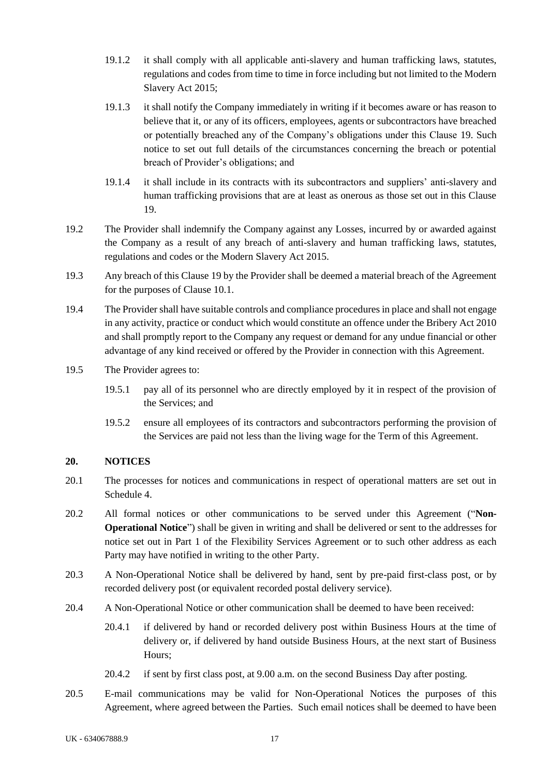- 19.1.2 it shall comply with all applicable anti-slavery and human trafficking laws, statutes, regulations and codes from time to time in force including but not limited to the Modern Slavery Act 2015;
- 19.1.3 it shall notify the Company immediately in writing if it becomes aware or has reason to believe that it, or any of its officers, employees, agents or subcontractors have breached or potentially breached any of the Company's obligations under this Clause [19.](#page-20-3) Such notice to set out full details of the circumstances concerning the breach or potential breach of Provider's obligations; and
- 19.1.4 it shall include in its contracts with its subcontractors and suppliers' anti-slavery and human trafficking provisions that are at least as onerous as those set out in this Clause 19.
- 19.2 The Provider shall indemnify the Company against any Losses, incurred by or awarded against the Company as a result of any breach of anti-slavery and human trafficking laws, statutes, regulations and codes or the Modern Slavery Act 2015.
- 19.3 Any breach of this Clause 19 by the Provider shall be deemed a material breach of the Agreement for the purposes of Claus[e 10.1.](#page-15-3)
- 19.4 The Provider shall have suitable controls and compliance procedures in place and shall not engage in any activity, practice or conduct which would constitute an offence under the Bribery Act 2010 and shall promptly report to the Company any request or demand for any undue financial or other advantage of any kind received or offered by the Provider in connection with this Agreement.
- 19.5 The Provider agrees to:
	- 19.5.1 pay all of its personnel who are directly employed by it in respect of the provision of the Services; and
	- 19.5.2 ensure all employees of its contractors and subcontractors performing the provision of the Services are paid not less than the living wage for the Term of this Agreement.

# <span id="page-21-0"></span>**20. NOTICES**

- 20.1 The processes for notices and communications in respect of operational matters are set out in Schedule 4.
- 20.2 All formal notices or other communications to be served under this Agreement ("**Non-Operational Notice**") shall be given in writing and shall be delivered or sent to the addresses for notice set out in Part 1 of the Flexibility Services Agreement or to such other address as each Party may have notified in writing to the other Party.
- 20.3 A Non-Operational Notice shall be delivered by hand, sent by pre-paid first-class post, or by recorded delivery post (or equivalent recorded postal delivery service).
- 20.4 A Non-Operational Notice or other communication shall be deemed to have been received:
	- 20.4.1 if delivered by hand or recorded delivery post within Business Hours at the time of delivery or, if delivered by hand outside Business Hours, at the next start of Business Hours;
	- 20.4.2 if sent by first class post, at 9.00 a.m. on the second Business Day after posting.
- 20.5 E-mail communications may be valid for Non-Operational Notices the purposes of this Agreement, where agreed between the Parties. Such email notices shall be deemed to have been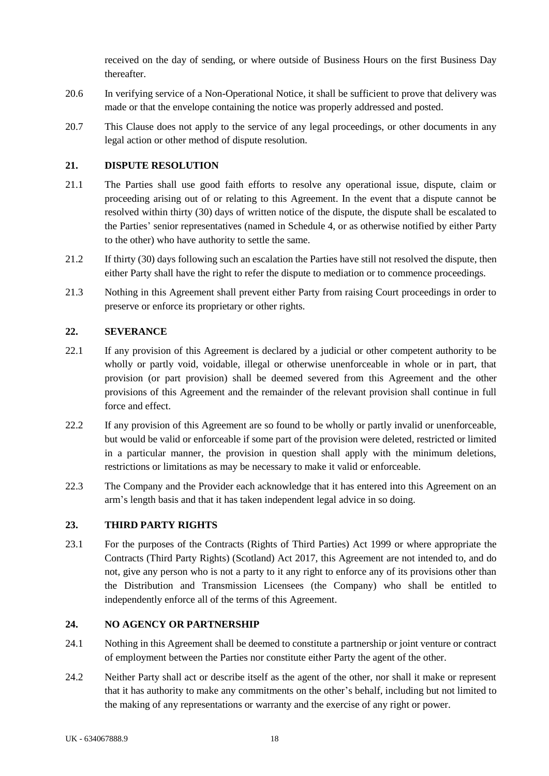<span id="page-22-4"></span>received on the day of sending, or where outside of Business Hours on the first Business Day thereafter.

- 20.6 In verifying service of a Non-Operational Notice, it shall be sufficient to prove that delivery was made or that the envelope containing the notice was properly addressed and posted.
- 20.7 This Clause does not apply to the service of any legal proceedings, or other documents in any legal action or other method of dispute resolution.

#### <span id="page-22-0"></span>**21. DISPUTE RESOLUTION**

- 21.1 The Parties shall use good faith efforts to resolve any operational issue, dispute, claim or proceeding arising out of or relating to this Agreement. In the event that a dispute cannot be resolved within thirty (30) days of written notice of the dispute, the dispute shall be escalated to the Parties' senior representatives (named in [Schedule 4,](#page-33-0) or as otherwise notified by either Party to the other) who have authority to settle the same.
- 21.2 If thirty (30) days following such an escalation the Parties have still not resolved the dispute, then either Party shall have the right to refer the dispute to mediation or to commence proceedings.
- 21.3 Nothing in this Agreement shall prevent either Party from raising Court proceedings in order to preserve or enforce its proprietary or other rights.

#### <span id="page-22-1"></span>**22. SEVERANCE**

- 22.1 If any provision of this Agreement is declared by a judicial or other competent authority to be wholly or partly void, voidable, illegal or otherwise unenforceable in whole or in part, that provision (or part provision) shall be deemed severed from this Agreement and the other provisions of this Agreement and the remainder of the relevant provision shall continue in full force and effect.
- 22.2 If any provision of this Agreement are so found to be wholly or partly invalid or unenforceable, but would be valid or enforceable if some part of the provision were deleted, restricted or limited in a particular manner, the provision in question shall apply with the minimum deletions, restrictions or limitations as may be necessary to make it valid or enforceable.
- 22.3 The Company and the Provider each acknowledge that it has entered into this Agreement on an arm's length basis and that it has taken independent legal advice in so doing.

#### <span id="page-22-2"></span>**23. THIRD PARTY RIGHTS**

23.1 For the purposes of the Contracts (Rights of Third Parties) Act 1999 or where appropriate the Contracts (Third Party Rights) (Scotland) Act 2017, this Agreement are not intended to, and do not, give any person who is not a party to it any right to enforce any of its provisions other than the Distribution and Transmission Licensees (the Company) who shall be entitled to independently enforce all of the terms of this Agreement.

#### <span id="page-22-3"></span>**24. NO AGENCY OR PARTNERSHIP**

- 24.1 Nothing in this Agreement shall be deemed to constitute a partnership or joint venture or contract of employment between the Parties nor constitute either Party the agent of the other.
- 24.2 Neither Party shall act or describe itself as the agent of the other, nor shall it make or represent that it has authority to make any commitments on the other's behalf, including but not limited to the making of any representations or warranty and the exercise of any right or power.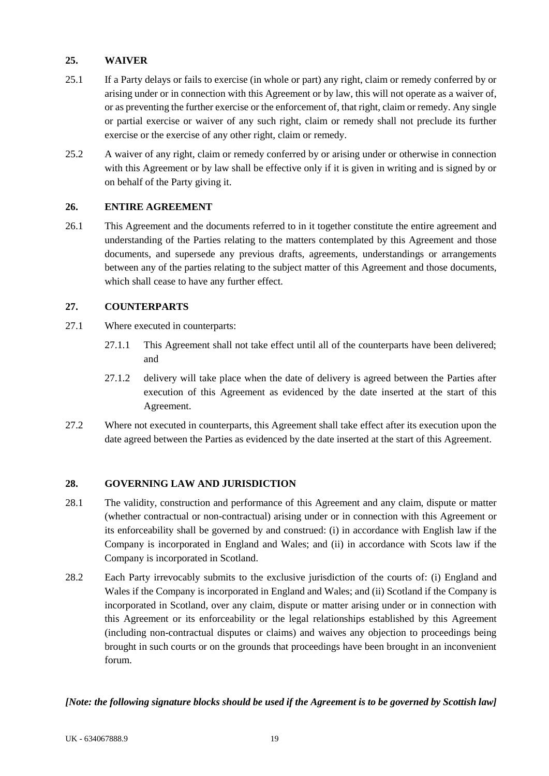# <span id="page-23-0"></span>**25. WAIVER**

- 25.1 If a Party delays or fails to exercise (in whole or part) any right, claim or remedy conferred by or arising under or in connection with this Agreement or by law, this will not operate as a waiver of, or as preventing the further exercise or the enforcement of, that right, claim or remedy. Any single or partial exercise or waiver of any such right, claim or remedy shall not preclude its further exercise or the exercise of any other right, claim or remedy.
- 25.2 A waiver of any right, claim or remedy conferred by or arising under or otherwise in connection with this Agreement or by law shall be effective only if it is given in writing and is signed by or on behalf of the Party giving it.

# <span id="page-23-1"></span>**26. ENTIRE AGREEMENT**

26.1 This Agreement and the documents referred to in it together constitute the entire agreement and understanding of the Parties relating to the matters contemplated by this Agreement and those documents, and supersede any previous drafts, agreements, understandings or arrangements between any of the parties relating to the subject matter of this Agreement and those documents, which shall cease to have any further effect.

# <span id="page-23-2"></span>**27. COUNTERPARTS**

- 27.1 Where executed in counterparts:
	- 27.1.1 This Agreement shall not take effect until all of the counterparts have been delivered; and
	- 27.1.2 delivery will take place when the date of delivery is agreed between the Parties after execution of this Agreement as evidenced by the date inserted at the start of this Agreement.
- 27.2 Where not executed in counterparts, this Agreement shall take effect after its execution upon the date agreed between the Parties as evidenced by the date inserted at the start of this Agreement.

# <span id="page-23-3"></span>**28. GOVERNING LAW AND JURISDICTION**

- 28.1 The validity, construction and performance of this Agreement and any claim, dispute or matter (whether contractual or non-contractual) arising under or in connection with this Agreement or its enforceability shall be governed by and construed: (i) in accordance with English law if the Company is incorporated in England and Wales; and (ii) in accordance with Scots law if the Company is incorporated in Scotland.
- 28.2 Each Party irrevocably submits to the exclusive jurisdiction of the courts of: (i) England and Wales if the Company is incorporated in England and Wales; and (ii) Scotland if the Company is incorporated in Scotland, over any claim, dispute or matter arising under or in connection with this Agreement or its enforceability or the legal relationships established by this Agreement (including non-contractual disputes or claims) and waives any objection to proceedings being brought in such courts or on the grounds that proceedings have been brought in an inconvenient forum.

# *[Note: the following signature blocks should be used if the Agreement is to be governed by Scottish law]*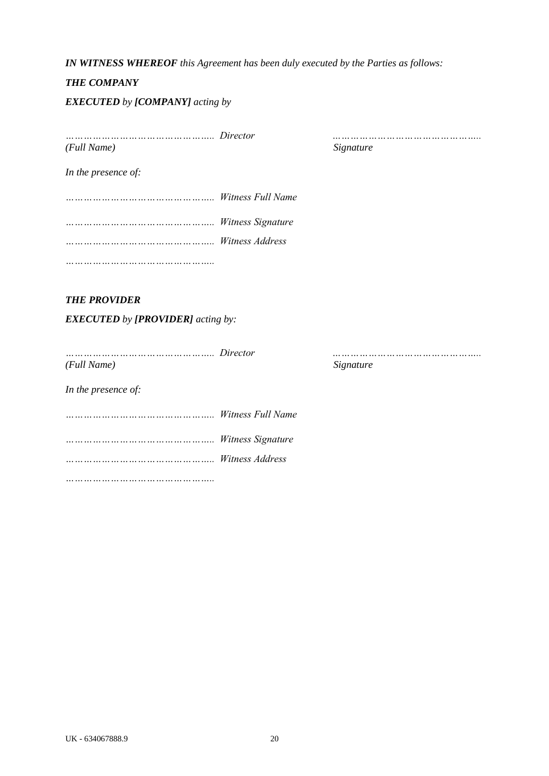#### *IN WITNESS WHEREOF this Agreement has been duly executed by the Parties as follows:*

#### *THE COMPANY*

#### *EXECUTED by [COMPANY] acting by*

*………………………………………….. Director ………………………………………….. (Full Name) Signature*

*In the presence of:*

*………………………………………….. Witness Full Name ………………………………………….. Witness Signature ………………………………………….. Witness Address*

*…………………………………………..* 

# *THE PROVIDER*

*EXECUTED by [PROVIDER] acting by:* 

*………………………………………….. Director ………………………………………….. (Full Name) Signature In the presence of: ………………………………………….. Witness Full Name*

*………………………………………….. Witness Signature*

*………………………………………….. Witness Address*

*…………………………………………..*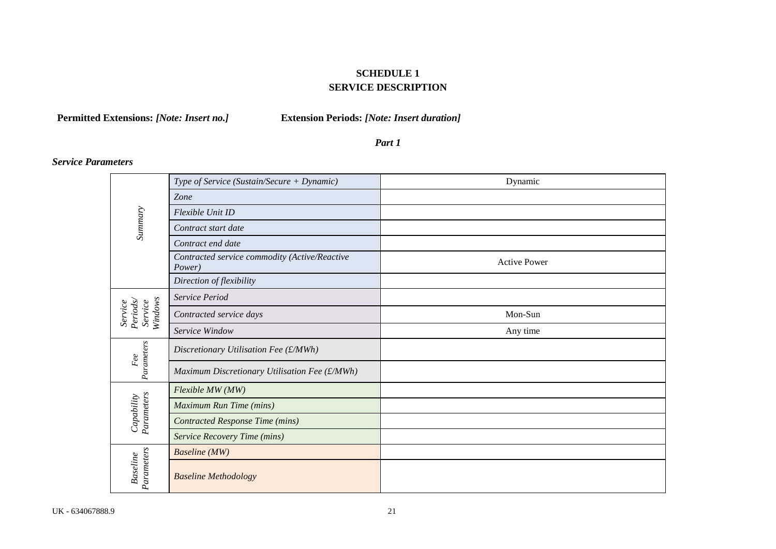# **SCHEDULE 1 SERVICE DESCRIPTION**

**Permitted Extensions:** *[Note: Insert no.]* **Extension Periods:** *[Note: Insert duration]*

*Part 1*

# *Service Parameters*

<span id="page-25-0"></span>

|                                          | Type of Service (Sustain/Secure + Dynamic)              | Dynamic             |
|------------------------------------------|---------------------------------------------------------|---------------------|
|                                          | Zone                                                    |                     |
|                                          | Flexible Unit ID                                        |                     |
| Summary                                  | Contract start date                                     |                     |
|                                          | Contract end date                                       |                     |
|                                          | Contracted service commodity (Active/Reactive<br>Power) | <b>Active Power</b> |
|                                          | Direction of flexibility                                |                     |
|                                          | Service Period                                          |                     |
| Windows<br>Periods<br>Service<br>Service | Contracted service days                                 | Mon-Sun             |
|                                          | Service Window                                          | Any time            |
| Parameters<br>Fee                        | Discretionary Utilisation Fee (£/MWh)                   |                     |
|                                          | Maximum Discretionary Utilisation Fee (£/MWh)           |                     |
|                                          | Flexible MW (MW)                                        |                     |
| Parameters<br>Capability                 | Maximum Run Time (mins)                                 |                     |
|                                          | <b>Contracted Response Time (mins)</b>                  |                     |
|                                          | <b>Service Recovery Time (mins)</b>                     |                     |
|                                          | <b>Baseline</b> (MW)                                    |                     |
| Parameters<br><b>Baseline</b>            | <b>Baseline Methodology</b>                             |                     |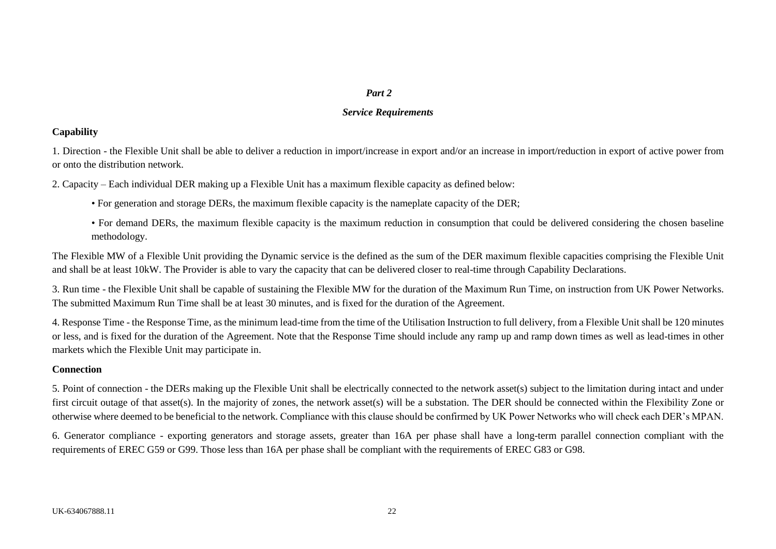#### *Part 2*

#### *Service Requirements*

#### **Capability**

1. Direction - the Flexible Unit shall be able to deliver a reduction in import/increase in export and/or an increase in import/reduction in export of active power from or onto the distribution network.

2. Capacity – Each individual DER making up a Flexible Unit has a maximum flexible capacity as defined below:

- For generation and storage DERs, the maximum flexible capacity is the nameplate capacity of the DER;
- For demand DERs, the maximum flexible capacity is the maximum reduction in consumption that could be delivered considering the chosen baseline methodology.

The Flexible MW of a Flexible Unit providing the Dynamic service is the defined as the sum of the DER maximum flexible capacities comprising the Flexible Unit and shall be at least 10kW. The Provider is able to vary the capacity that can be delivered closer to real-time through Capability Declarations.

3. Run time - the Flexible Unit shall be capable of sustaining the Flexible MW for the duration of the Maximum Run Time, on instruction from UK Power Networks. The submitted Maximum Run Time shall be at least 30 minutes, and is fixed for the duration of the Agreement.

4. Response Time - the Response Time, as the minimum lead-time from the time of the Utilisation Instruction to full delivery, from a Flexible Unit shall be 120 minutes or less, and is fixed for the duration of the Agreement. Note that the Response Time should include any ramp up and ramp down times as well as lead-times in other markets which the Flexible Unit may participate in.

# **Connection**

5. Point of connection - the DERs making up the Flexible Unit shall be electrically connected to the network asset(s) subject to the limitation during intact and under first circuit outage of that asset(s). In the majority of zones, the network asset(s) will be a substation. The DER should be connected within the Flexibility Zone or otherwise where deemed to be beneficial to the network. Compliance with this clause should be confirmed by UK Power Networks who will check each DER's MPAN.

6. Generator compliance - exporting generators and storage assets, greater than 16A per phase shall have a long-term parallel connection compliant with the requirements of EREC G59 or G99. Those less than 16A per phase shall be compliant with the requirements of EREC G83 or G98.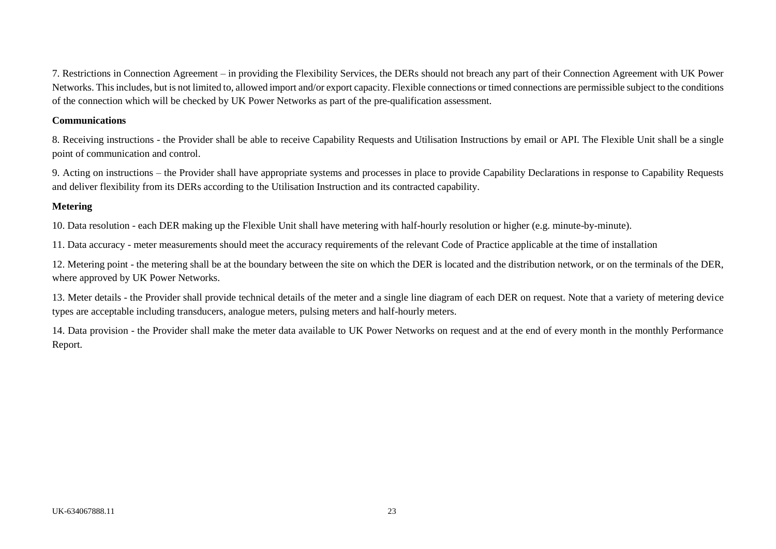7. Restrictions in Connection Agreement – in providing the Flexibility Services, the DERs should not breach any part of their Connection Agreement with UK Power Networks. This includes, but is not limited to, allowed import and/or export capacity. Flexible connections or timed connections are permissible subject to the conditions of the connection which will be checked by UK Power Networks as part of the pre-qualification assessment.

#### **Communications**

8. Receiving instructions - the Provider shall be able to receive Capability Requests and Utilisation Instructions by email or API. The Flexible Unit shall be a single point of communication and control.

9. Acting on instructions – the Provider shall have appropriate systems and processes in place to provide Capability Declarations in response to Capability Requests and deliver flexibility from its DERs according to the Utilisation Instruction and its contracted capability.

# **Metering**

10. Data resolution - each DER making up the Flexible Unit shall have metering with half-hourly resolution or higher (e.g. minute-by-minute).

11. Data accuracy - meter measurements should meet the accuracy requirements of the relevant Code of Practice applicable at the time of installation

12. Metering point - the metering shall be at the boundary between the site on which the DER is located and the distribution network, or on the terminals of the DER, where approved by UK Power Networks.

13. Meter details - the Provider shall provide technical details of the meter and a single line diagram of each DER on request. Note that a variety of metering device types are acceptable including transducers, analogue meters, pulsing meters and half-hourly meters.

14. Data provision - the Provider shall make the meter data available to UK Power Networks on request and at the end of every month in the monthly Performance Report.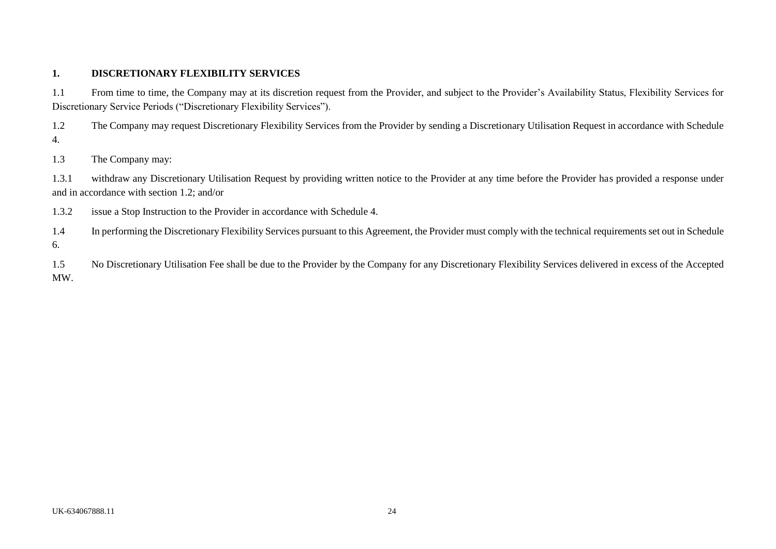#### **1. DISCRETIONARY FLEXIBILITY SERVICES**

1.1 From time to time, the Company may at its discretion request from the Provider, and subject to the Provider's Availability Status, Flexibility Services for Discretionary Service Periods ("Discretionary Flexibility Services").

1.2 The Company may request Discretionary Flexibility Services from the Provider by sending a Discretionary Utilisation Request in accordance with Schedule 4.

1.3 The Company may:

1.3.1 withdraw any Discretionary Utilisation Request by providing written notice to the Provider at any time before the Provider has provided a response under and in accordance with section 1.2; and/or

1.3.2 issue a Stop Instruction to the Provider in accordance with Schedule 4.

1.4 In performing the Discretionary Flexibility Services pursuant to this Agreement, the Provider must comply with the technical requirements set out in Schedule 6.

1.5 No Discretionary Utilisation Fee shall be due to the Provider by the Company for any Discretionary Flexibility Services delivered in excess of the Accepted MW.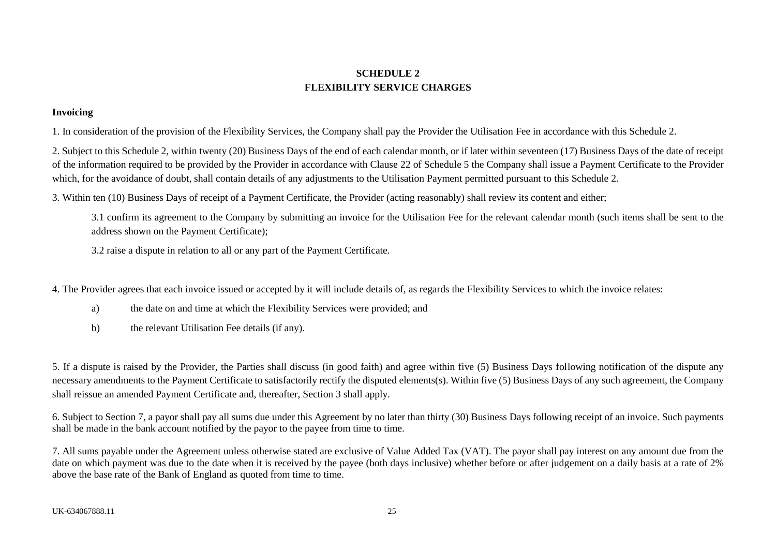# **SCHEDULE 2 FLEXIBILITY SERVICE CHARGES**

#### **Invoicing**

1. In consideration of the provision of the Flexibility Services, the Company shall pay the Provider the Utilisation Fee in accordance with this Schedule 2.

2. Subject to this Schedule 2, within twenty (20) Business Days of the end of each calendar month, or if later within seventeen (17) Business Days of the date of receipt of the information required to be provided by the Provider in accordance with Clause 22 of Schedule 5 the Company shall issue a Payment Certificate to the Provider which, for the avoidance of doubt, shall contain details of any adjustments to the Utilisation Payment permitted pursuant to this Schedule 2.

3. Within ten (10) Business Days of receipt of a Payment Certificate, the Provider (acting reasonably) shall review its content and either;

3.1 confirm its agreement to the Company by submitting an invoice for the Utilisation Fee for the relevant calendar month (such items shall be sent to the address shown on the Payment Certificate);

3.2 raise a dispute in relation to all or any part of the Payment Certificate.

<span id="page-29-0"></span>4. The Provider agrees that each invoice issued or accepted by it will include details of, as regards the Flexibility Services to which the invoice relates:

- a) the date on and time at which the Flexibility Services were provided; and
- b) the relevant Utilisation Fee details (if any).

5. If a dispute is raised by the Provider, the Parties shall discuss (in good faith) and agree within five (5) Business Days following notification of the dispute any necessary amendments to the Payment Certificate to satisfactorily rectify the disputed elements(s). Within five (5) Business Days of any such agreement, the Company shall reissue an amended Payment Certificate and, thereafter, Section 3 shall apply.

6. Subject to Section 7, a payor shall pay all sums due under this Agreement by no later than thirty (30) Business Days following receipt of an invoice. Such payments shall be made in the bank account notified by the payor to the payee from time to time.

7. All sums payable under the Agreement unless otherwise stated are exclusive of Value Added Tax (VAT). The payor shall pay interest on any amount due from the date on which payment was due to the date when it is received by the payee (both days inclusive) whether before or after judgement on a daily basis at a rate of 2% above the base rate of the Bank of England as quoted from time to time.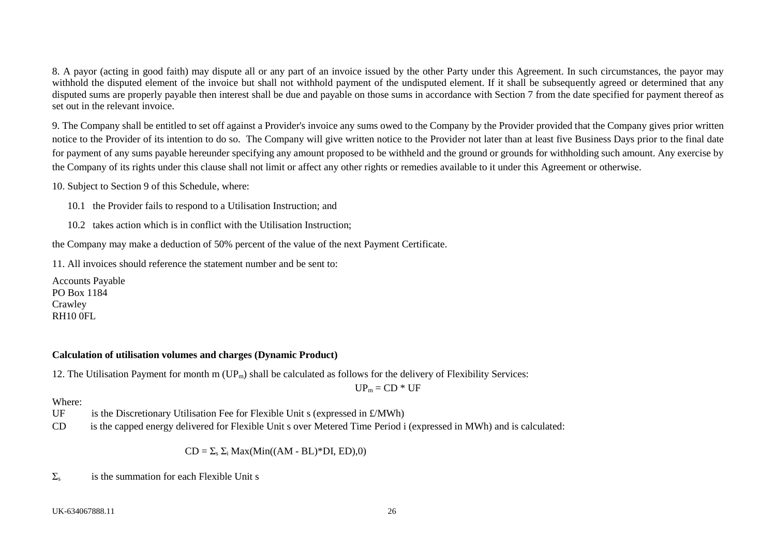8. A payor (acting in good faith) may dispute all or any part of an invoice issued by the other Party under this Agreement. In such circumstances, the payor may withhold the disputed element of the invoice but shall not withhold payment of the undisputed element. If it shall be subsequently agreed or determined that any disputed sums are properly payable then interest shall be due and payable on those sums in accordance with Section 7 from the date specified for payment thereof as set out in the relevant invoice.

9. The Company shall be entitled to set off against a Provider's invoice any sums owed to the Company by the Provider provided that the Company gives prior written notice to the Provider of its intention to do so. The Company will give written notice to the Provider not later than at least five Business Days prior to the final date for payment of any sums payable hereunder specifying any amount proposed to be withheld and the ground or grounds for withholding such amount. Any exercise by the Company of its rights under this clause shall not limit or affect any other rights or remedies available to it under this Agreement or otherwise.

10. Subject to Section 9 of this Schedule, where:

10.1 the Provider fails to respond to a Utilisation Instruction; and

10.2 takes action which is in conflict with the Utilisation Instruction;

the Company may make a deduction of 50% percent of the value of the next Payment Certificate.

11. All invoices should reference the statement number and be sent to:

Accounts Payable PO Box 1184 **Crawley** RH10 0FL

# **Calculation of utilisation volumes and charges (Dynamic Product)**

12. The Utilisation Payment for month m  $(UP_m)$  shall be calculated as follows for the delivery of Flexibility Services:

 $UP_m = CD * UF$ 

# Where:

- UF is the Discretionary Utilisation Fee for Flexible Unit s (expressed in  $\mathcal{L}/MWh$ )
- CD is the capped energy delivered for Flexible Unit s over Metered Time Period i (expressed in MWh) and is calculated:

 $CD = \sum_{s} \sum_{i} \text{Max}(Min((AM - BL)*DI, ED),0)$ 

 $\Sigma<sub>s</sub>$  is the summation for each Flexible Unit s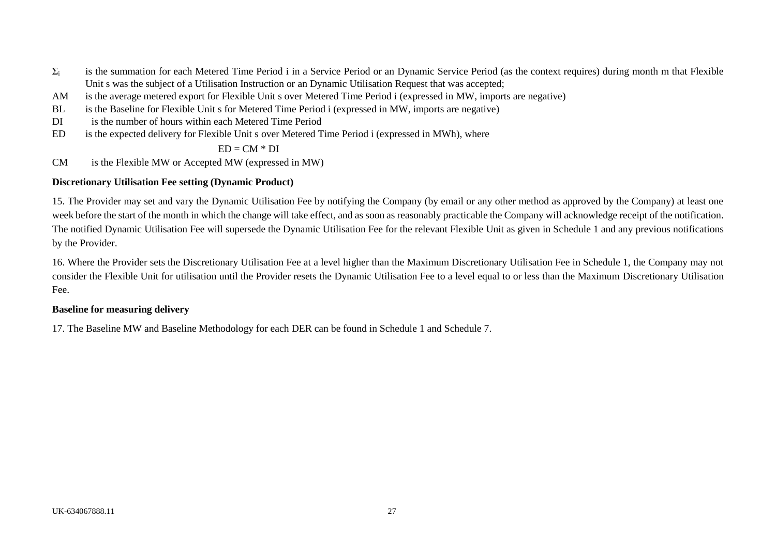- $\Sigma_i$  is the summation for each Metered Time Period i in a Service Period or an Dynamic Service Period (as the context requires) during month m that Flexible Unit s was the subject of a Utilisation Instruction or an Dynamic Utilisation Request that was accepted:
- AM is the average metered export for Flexible Unit s over Metered Time Period i (expressed in MW, imports are negative)
- BL is the Baseline for Flexible Unit s for Metered Time Period i (expressed in MW, imports are negative)
- DI is the number of hours within each Metered Time Period
- ED is the expected delivery for Flexible Unit s over Metered Time Period i (expressed in MWh), where

#### $ED = CM * DI$

CM is the Flexible MW or Accepted MW (expressed in MW)

## **Discretionary Utilisation Fee setting (Dynamic Product)**

15. The Provider may set and vary the Dynamic Utilisation Fee by notifying the Company (by email or any other method as approved by the Company) at least one week before the start of the month in which the change will take effect, and as soon as reasonably practicable the Company will acknowledge receipt of the notification. The notified Dynamic Utilisation Fee will supersede the Dynamic Utilisation Fee for the relevant Flexible Unit as given in Schedule 1 and any previous notifications by the Provider.

16. Where the Provider sets the Discretionary Utilisation Fee at a level higher than the Maximum Discretionary Utilisation Fee in Schedule 1, the Company may not consider the Flexible Unit for utilisation until the Provider resets the Dynamic Utilisation Fee to a level equal to or less than the Maximum Discretionary Utilisation Fee.

# **Baseline for measuring delivery**

17. The Baseline MW and Baseline Methodology for each DER can be found in Schedule 1 and Schedule 7.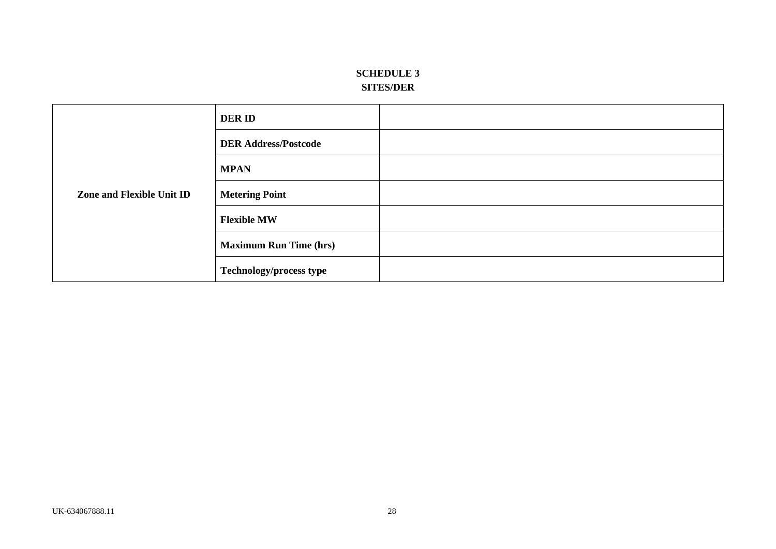# **SCHEDULE 3 SITES/DER**

<span id="page-32-0"></span>

| Zone and Flexible Unit ID | <b>DERID</b>                   |  |
|---------------------------|--------------------------------|--|
|                           | <b>DER Address/Postcode</b>    |  |
|                           | <b>MPAN</b>                    |  |
|                           | <b>Metering Point</b>          |  |
|                           | <b>Flexible MW</b>             |  |
|                           | <b>Maximum Run Time (hrs)</b>  |  |
|                           | <b>Technology/process type</b> |  |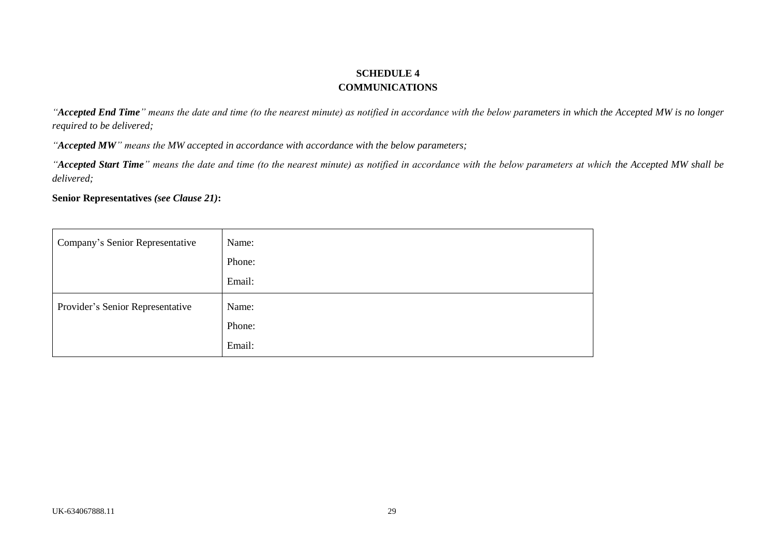# **SCHEDULE 4 COMMUNICATIONS**

*"Accepted End Time" means the date and time (to the nearest minute) as notified in accordance with the below parameters in which the Accepted MW is no longer required to be delivered;*

*"Accepted MW" means the MW accepted in accordance with accordance with the below parameters;*

*"Accepted Start Time" means the date and time (to the nearest minute) as notified in accordance with the below parameters at which the Accepted MW shall be delivered;*

**Senior Representatives** *(see Clause [21\)](#page-22-4)***:**

<span id="page-33-0"></span>

| Company's Senior Representative  | Name:<br>Phone:<br>Email: |
|----------------------------------|---------------------------|
| Provider's Senior Representative | Name:<br>Phone:<br>Email: |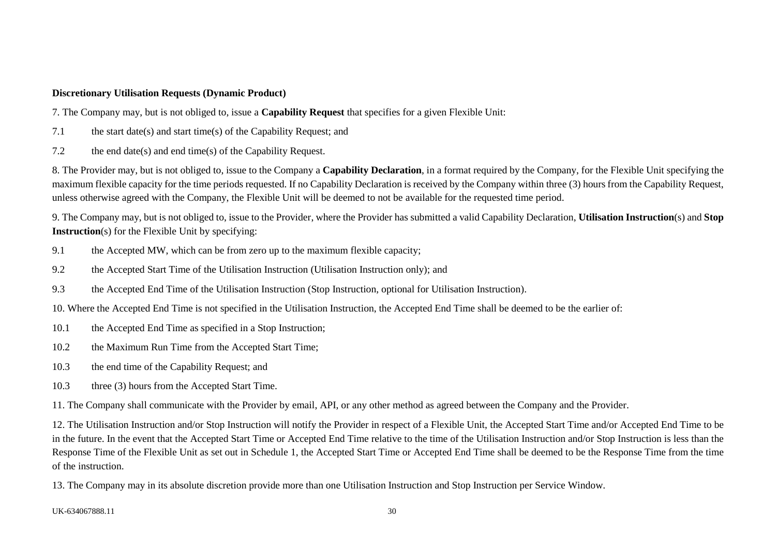#### **Discretionary Utilisation Requests (Dynamic Product)**

7. The Company may, but is not obliged to, issue a **Capability Request** that specifies for a given Flexible Unit:

- 7.1 the start date(s) and start time(s) of the Capability Request; and
- 7.2 the end date(s) and end time(s) of the Capability Request.

8. The Provider may, but is not obliged to, issue to the Company a **Capability Declaration**, in a format required by the Company, for the Flexible Unit specifying the maximum flexible capacity for the time periods requested. If no Capability Declaration is received by the Company within three (3) hours from the Capability Request, unless otherwise agreed with the Company, the Flexible Unit will be deemed to not be available for the requested time period.

9. The Company may, but is not obliged to, issue to the Provider, where the Provider has submitted a valid Capability Declaration, **Utilisation Instruction**(s) and **Stop Instruction**(s) for the Flexible Unit by specifying:

- 9.1 the Accepted MW, which can be from zero up to the maximum flexible capacity;
- 9.2 the Accepted Start Time of the Utilisation Instruction (Utilisation Instruction only); and
- 9.3 the Accepted End Time of the Utilisation Instruction (Stop Instruction, optional for Utilisation Instruction).

10. Where the Accepted End Time is not specified in the Utilisation Instruction, the Accepted End Time shall be deemed to be the earlier of:

- 10.1 the Accepted End Time as specified in a Stop Instruction;
- 10.2 the Maximum Run Time from the Accepted Start Time;
- 10.3 the end time of the Capability Request; and
- 10.3 three (3) hours from the Accepted Start Time.

11. The Company shall communicate with the Provider by email, API, or any other method as agreed between the Company and the Provider.

12. The Utilisation Instruction and/or Stop Instruction will notify the Provider in respect of a Flexible Unit, the Accepted Start Time and/or Accepted End Time to be in the future. In the event that the Accepted Start Time or Accepted End Time relative to the time of the Utilisation Instruction and/or Stop Instruction is less than the Response Time of the Flexible Unit as set out in Schedule 1, the Accepted Start Time or Accepted End Time shall be deemed to be the Response Time from the time of the instruction.

13. The Company may in its absolute discretion provide more than one Utilisation Instruction and Stop Instruction per Service Window.

UK-634067888.11 30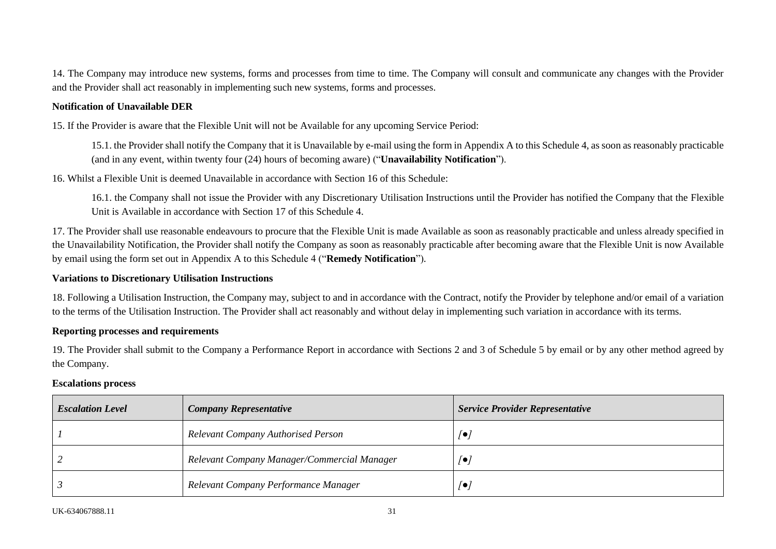14. The Company may introduce new systems, forms and processes from time to time. The Company will consult and communicate any changes with the Provider and the Provider shall act reasonably in implementing such new systems, forms and processes.

#### **Notification of Unavailable DER**

15. If the Provider is aware that the Flexible Unit will not be Available for any upcoming Service Period:

15.1. the Provider shall notify the Company that it is Unavailable by e-mail using the form in Appendix A to this Schedule 4, as soon as reasonably practicable (and in any event, within twenty four (24) hours of becoming aware) ("**Unavailability Notification**").

16. Whilst a Flexible Unit is deemed Unavailable in accordance with Section 16 of this Schedule:

16.1. the Company shall not issue the Provider with any Discretionary Utilisation Instructions until the Provider has notified the Company that the Flexible Unit is Available in accordance with Section 17 of this Schedule 4.

17. The Provider shall use reasonable endeavours to procure that the Flexible Unit is made Available as soon as reasonably practicable and unless already specified in the Unavailability Notification, the Provider shall notify the Company as soon as reasonably practicable after becoming aware that the Flexible Unit is now Available by email using the form set out in Appendix A to this Schedule 4 ("**Remedy Notification**").

#### **Variations to Discretionary Utilisation Instructions**

18. Following a Utilisation Instruction, the Company may, subject to and in accordance with the Contract, notify the Provider by telephone and/or email of a variation to the terms of the Utilisation Instruction. The Provider shall act reasonably and without delay in implementing such variation in accordance with its terms.

#### **Reporting processes and requirements**

19. The Provider shall submit to the Company a Performance Report in accordance with Sections 2 and 3 of Schedule 5 by email or by any other method agreed by the Company.

#### **Escalations process**

| <b>Escalation Level</b> | <b>Company Representative</b>               | <b>Service Provider Representative</b> |
|-------------------------|---------------------------------------------|----------------------------------------|
|                         | Relevant Company Authorised Person          | $\sqrt{\bullet}$                       |
|                         | Relevant Company Manager/Commercial Manager | /●,                                    |
|                         | Relevant Company Performance Manager        | [●]                                    |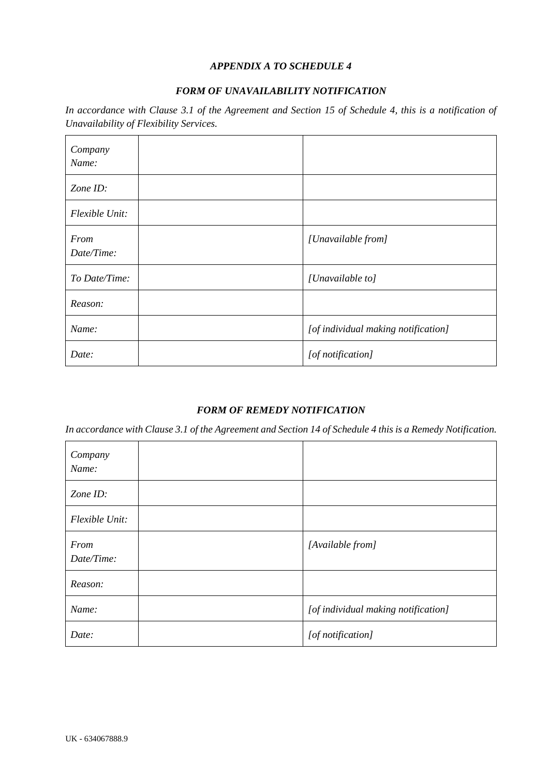#### *APPENDIX A TO SCHEDULE 4*

#### *FORM OF UNAVAILABILITY NOTIFICATION*

*In accordance with Clause [3.1](#page-10-6) of the Agreement and Section 15 of Schedule 4, this is a notification of Unavailability of Flexibility Services.*

| Company<br>Name:   |                                     |
|--------------------|-------------------------------------|
| Zone ID:           |                                     |
| Flexible Unit:     |                                     |
| From<br>Date/Time: | [Unavailable from]                  |
| To Date/Time:      | [Unavailable to]                    |
| Reason:            |                                     |
| Name:              | [of individual making notification] |
| Date:              | [of notification]                   |

# *FORM OF REMEDY NOTIFICATION*

*In accordance with Clause [3.1](#page-10-6) of the Agreement and Section 14 of Schedule 4 this is a Remedy Notification.*

| Company<br>Name:   |                                     |
|--------------------|-------------------------------------|
| Zone ID:           |                                     |
| Flexible Unit:     |                                     |
| From<br>Date/Time: | [Available from]                    |
| Reason:            |                                     |
| Name:              | [of individual making notification] |
| Date:              | [of notification]                   |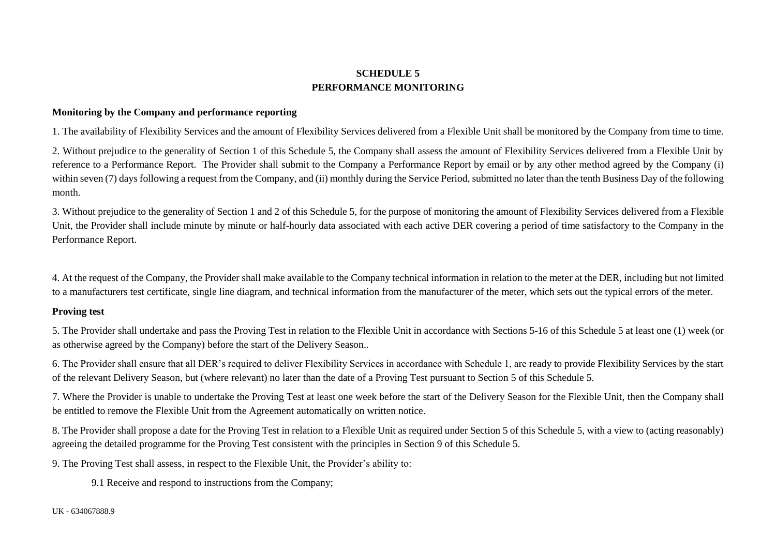# **SCHEDULE 5 PERFORMANCE MONITORING**

#### **Monitoring by the Company and performance reporting**

1. The availability of Flexibility Services and the amount of Flexibility Services delivered from a Flexible Unit shall be monitored by the Company from time to time.

2. Without prejudice to the generality of Section 1 of this Schedule 5, the Company shall assess the amount of Flexibility Services delivered from a Flexible Unit by reference to a Performance Report. The Provider shall submit to the Company a Performance Report by email or by any other method agreed by the Company (i) within seven (7) days following a request from the Company, and (ii) monthly during the Service Period, submitted no later than the tenth Business Day of the following month.

3. Without prejudice to the generality of Section 1 and 2 of this Schedule 5, for the purpose of monitoring the amount of Flexibility Services delivered from a Flexible Unit, the Provider shall include minute by minute or half-hourly data associated with each active DER covering a period of time satisfactory to the Company in the Performance Report.

4. At the request of the Company, the Provider shall make available to the Company technical information in relation to the meter at the DER, including but not limited to a manufacturers test certificate, single line diagram, and technical information from the manufacturer of the meter, which sets out the typical errors of the meter.

#### <span id="page-37-0"></span>**Proving test**

5. The Provider shall undertake and pass the Proving Test in relation to the Flexible Unit in accordance with Sections 5-16 of this Schedule 5 at least one (1) week (or as otherwise agreed by the Company) before the start of the Delivery Season..

6. The Provider shall ensure that all DER's required to deliver Flexibility Services in accordance with Schedule 1, are ready to provide Flexibility Services by the start of the relevant Delivery Season, but (where relevant) no later than the date of a Proving Test pursuant to Section 5 of this Schedule 5.

7. Where the Provider is unable to undertake the Proving Test at least one week before the start of the Delivery Season for the Flexible Unit, then the Company shall be entitled to remove the Flexible Unit from the Agreement automatically on written notice.

8. The Provider shall propose a date for the Proving Test in relation to a Flexible Unit as required under Section 5 of this Schedule 5, with a view to (acting reasonably) agreeing the detailed programme for the Proving Test consistent with the principles in Section 9 of this Schedule 5.

9. The Proving Test shall assess, in respect to the Flexible Unit, the Provider's ability to:

9.1 Receive and respond to instructions from the Company;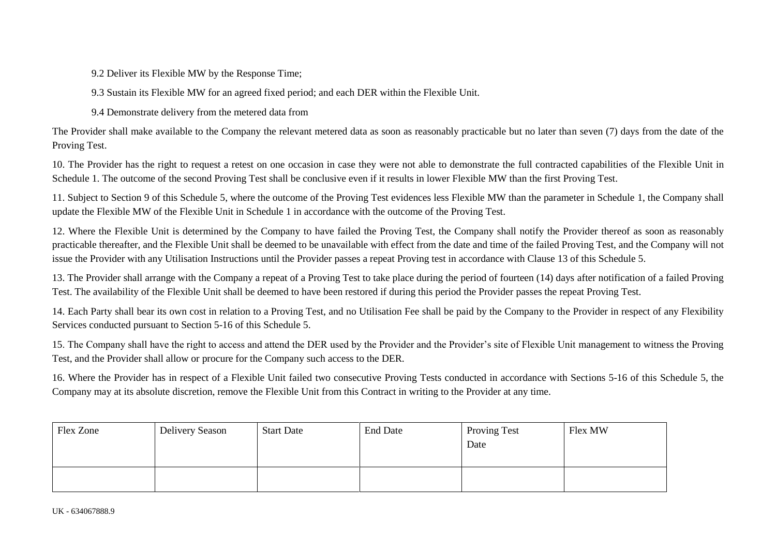9.2 Deliver its Flexible MW by the Response Time;

9.3 Sustain its Flexible MW for an agreed fixed period; and each DER within the Flexible Unit.

9.4 Demonstrate delivery from the metered data from

The Provider shall make available to the Company the relevant metered data as soon as reasonably practicable but no later than seven (7) days from the date of the Proving Test.

10. The Provider has the right to request a retest on one occasion in case they were not able to demonstrate the full contracted capabilities of the Flexible Unit in Schedule 1. The outcome of the second Proving Test shall be conclusive even if it results in lower Flexible MW than the first Proving Test.

11. Subject to Section 9 of this Schedule 5, where the outcome of the Proving Test evidences less Flexible MW than the parameter in Schedule 1, the Company shall update the Flexible MW of the Flexible Unit in Schedule 1 in accordance with the outcome of the Proving Test.

12. Where the Flexible Unit is determined by the Company to have failed the Proving Test, the Company shall notify the Provider thereof as soon as reasonably practicable thereafter, and the Flexible Unit shall be deemed to be unavailable with effect from the date and time of the failed Proving Test, and the Company will not issue the Provider with any Utilisation Instructions until the Provider passes a repeat Proving test in accordance with Clause 13 of this Schedule 5.

13. The Provider shall arrange with the Company a repeat of a Proving Test to take place during the period of fourteen (14) days after notification of a failed Proving Test. The availability of the Flexible Unit shall be deemed to have been restored if during this period the Provider passes the repeat Proving Test.

14. Each Party shall bear its own cost in relation to a Proving Test, and no Utilisation Fee shall be paid by the Company to the Provider in respect of any Flexibility Services conducted pursuant to Section 5-16 of this Schedule 5.

15. The Company shall have the right to access and attend the DER used by the Provider and the Provider's site of Flexible Unit management to witness the Proving Test, and the Provider shall allow or procure for the Company such access to the DER.

16. Where the Provider has in respect of a Flexible Unit failed two consecutive Proving Tests conducted in accordance with Sections 5-16 of this Schedule 5, the Company may at its absolute discretion, remove the Flexible Unit from this Contract in writing to the Provider at any time.

| Flex Zone | Delivery Season | <b>Start Date</b> | <b>End Date</b> | <b>Proving Test</b><br>Date | Flex MW |
|-----------|-----------------|-------------------|-----------------|-----------------------------|---------|
|           |                 |                   |                 |                             |         |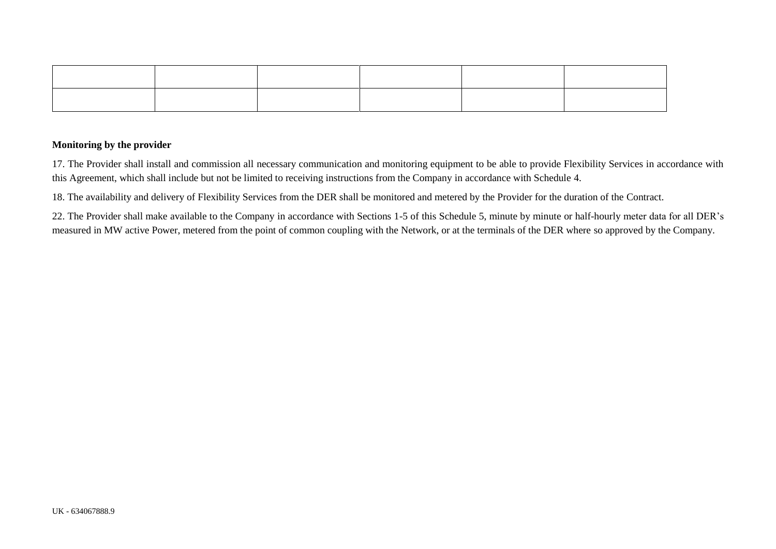#### **Monitoring by the provider**

17. The Provider shall install and commission all necessary communication and monitoring equipment to be able to provide Flexibility Services in accordance with this Agreement, which shall include but not be limited to receiving instructions from the Company in accordance with Schedule 4.

18. The availability and delivery of Flexibility Services from the DER shall be monitored and metered by the Provider for the duration of the Contract.

22. The Provider shall make available to the Company in accordance with Sections 1-5 of this Schedule 5, minute by minute or half-hourly meter data for all DER's measured in MW active Power, metered from the point of common coupling with the Network, or at the terminals of the DER where so approved by the Company.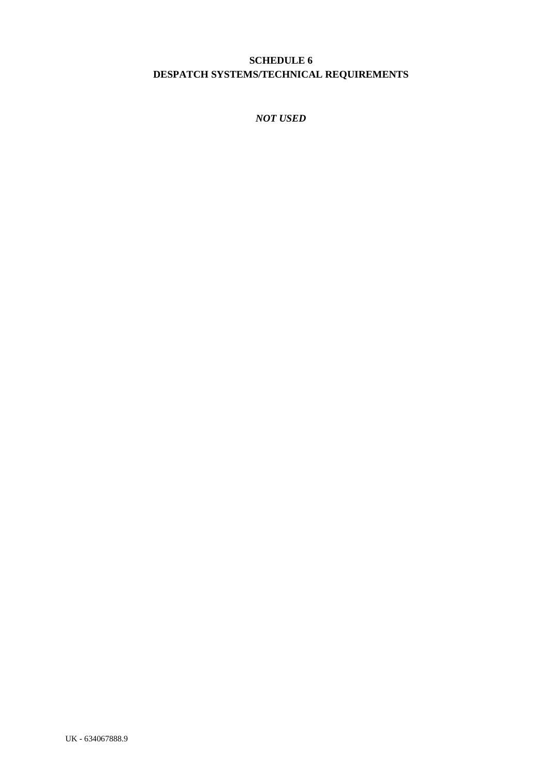# <span id="page-40-0"></span>**SCHEDULE 6 DESPATCH SYSTEMS/TECHNICAL REQUIREMENTS**

*NOT USED*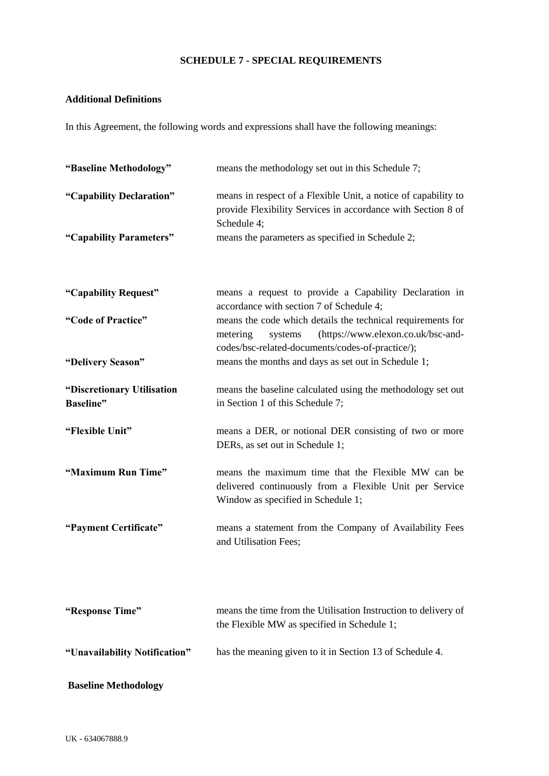# **SCHEDULE 7 - SPECIAL REQUIREMENTS**

# **Additional Definitions**

In this Agreement, the following words and expressions shall have the following meanings:

| "Baseline Methodology"                          | means the methodology set out in this Schedule 7;                                                                                                                            |
|-------------------------------------------------|------------------------------------------------------------------------------------------------------------------------------------------------------------------------------|
| "Capability Declaration"                        | means in respect of a Flexible Unit, a notice of capability to<br>provide Flexibility Services in accordance with Section 8 of<br>Schedule 4;                                |
| "Capability Parameters"                         | means the parameters as specified in Schedule 2;                                                                                                                             |
| "Capability Request"                            | means a request to provide a Capability Declaration in<br>accordance with section 7 of Schedule 4;                                                                           |
| "Code of Practice"                              | means the code which details the technical requirements for<br>(https://www.elexon.co.uk/bsc-and-<br>metering<br>systems<br>codes/bsc-related-documents/codes-of-practice/); |
| "Delivery Season"                               | means the months and days as set out in Schedule 1;                                                                                                                          |
| "Discretionary Utilisation<br><b>Baseline</b> " | means the baseline calculated using the methodology set out<br>in Section 1 of this Schedule 7;                                                                              |
| "Flexible Unit"                                 | means a DER, or notional DER consisting of two or more<br>DERs, as set out in Schedule 1;                                                                                    |
| "Maximum Run Time"                              | means the maximum time that the Flexible MW can be<br>delivered continuously from a Flexible Unit per Service<br>Window as specified in Schedule 1;                          |
| "Payment Certificate"                           | means a statement from the Company of Availability Fees<br>and Utilisation Fees;                                                                                             |
| "Response Time"                                 | means the time from the Utilisation Instruction to delivery of<br>the Flexible MW as specified in Schedule 1;                                                                |
| "Unavailability Notification"                   | has the meaning given to it in Section 13 of Schedule 4.                                                                                                                     |
| <b>Baseline Methodology</b>                     |                                                                                                                                                                              |